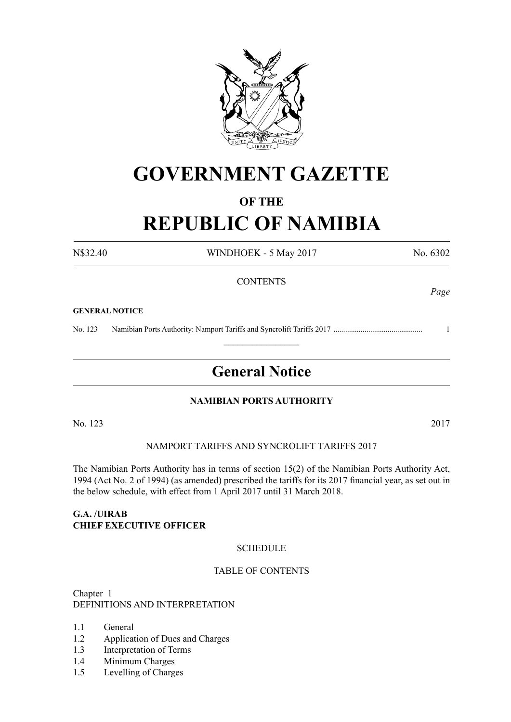

# **GOVERNMENT GAZETTE**

# **OF THE**

# **REPUBLIC OF NAMIBIA**

N\$32.40 WINDHOEK - 5 May 2017 No. 6302

*Page*

# **CONTENTS**

#### **GENERAL NOTICE**

No. 123 Namibian Ports Authority: Namport Tariffs and Syncrolift Tariffs 2017 .............................................. 1

# **General Notice**

 $\frac{1}{2}$ 

# **NAMIBIAN PORTS AUTHORITY**

No. 123 2017

# Namport tariffs and Syncrolift tariffs 2017

The Namibian Ports Authority has in terms of section 15(2) of the Namibian Ports Authority Act, 1994 (Act No. 2 of 1994) (as amended) prescribed the tariffs for its 2017 financial year, as set out in the below schedule, with effect from 1 April 2017 until 31 March 2018.

## **G.A. /UIRAB CHIEF EXECUTIVE OFFICER**

# **SCHEDULE**

#### Table of Contents

Chapter 1 DEFINITIONS AND INTERPRETATION

- 1.1 General
- 1.2 Application of Dues and Charges
- 1.3 Interpretation of Terms
- 1.4 Minimum Charges
- 1.5 Levelling of Charges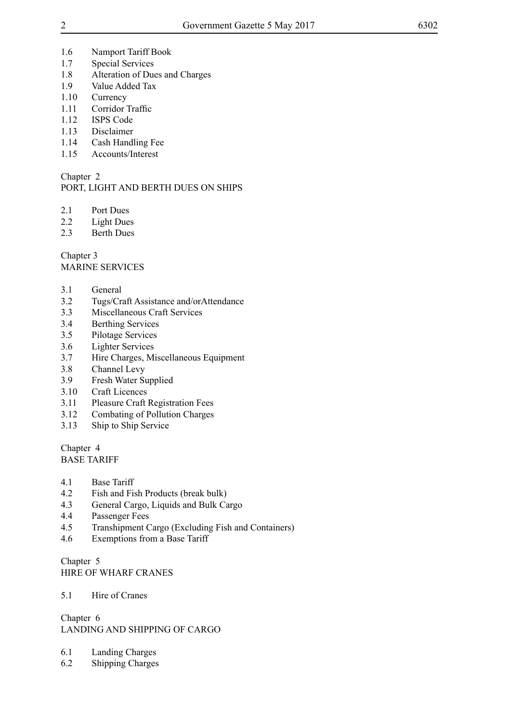- 1.6 Namport Tariff Book
- 1.7 Special Services
- 1.8 Alteration of Dues and Charges
- 1.9 Value Added Tax
- 1.10 Currency
- 1.11 Corridor Traffic
- 1.12 ISPS Code
- 1.13 Disclaimer
- 1.14 Cash Handling Fee
- 1.15 Accounts/Interest

# Chapter 2

# PORT, LIGHT AND BERTH DUES ON SHIPS

- 2.1 Port Dues
- 2.2 Light Dues
- 2.3 Berth Dues

Chapter 3 MARINE SERVICES

- 3.1 General
- 3.2 Tugs/Craft Assistance and/orAttendance
- 3.3 Miscellaneous Craft Services
- 3.4 Berthing Services
- 3.5 Pilotage Services
- 3.6 Lighter Services
- 3.7 Hire Charges, Miscellaneous Equipment
- 3.8 Channel Levy
- 3.9 Fresh Water Supplied
- 3.10 Craft Licences
- 3.11 Pleasure Craft Registration Fees
- 3.12 Combating of Pollution Charges
- 3.13 Ship to Ship Service

Chapter 4 BASE TARIFF

- 4.1 Base Tariff
- 4.2 Fish and Fish Products (break bulk)
- 4.3 General Cargo, Liquids and Bulk Cargo
- 4.4 Passenger Fees
- 4.5 Transhipment Cargo (Excluding Fish and Containers)
- 4.6 Exemptions from a Base Tariff

Chapter 5 HIRE OF WHARF CRANES

5.1 Hire of Cranes

Chapter 6 LANDING AND SHIPPING OF CARGO

- 6.1 Landing Charges
- 6.2 Shipping Charges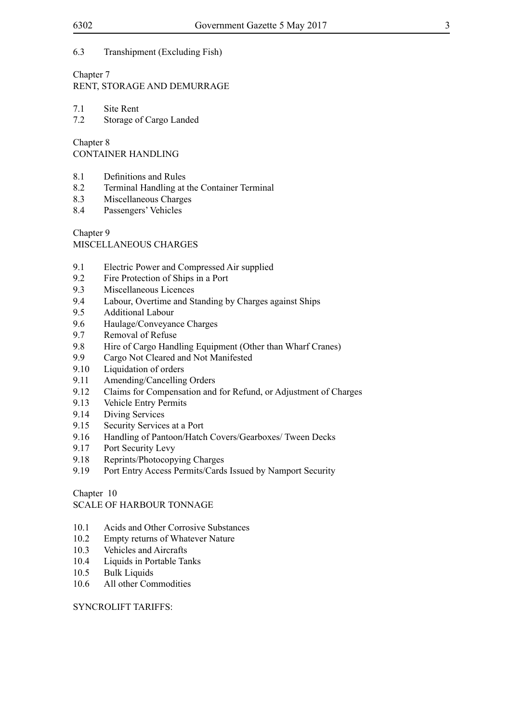# 6.3 Transhipment (Excluding Fish)

# Chapter 7

RENT, STORAGE AND DEMURRAGE

7.1 Site Rent<br>7.2 Storage of

Storage of Cargo Landed

Chapter 8

CONTAINER HANDLING

- 8.1 Definitions and Rules
- 8.2 Terminal Handling at the Container Terminal
- 8.3 Miscellaneous Charges
- 8.4 Passengers' Vehicles

Chapter 9

MISCELLANEOUS CHARGES

- 9.1 Electric Power and Compressed Air supplied
- 9.2 Fire Protection of Ships in a Port
- 9.3 Miscellaneous Licences
- 9.4 Labour, Overtime and Standing by Charges against Ships
- 9.5 Additional Labour
- 9.6 Haulage/Conveyance Charges
- 9.7 Removal of Refuse
- 9.8 Hire of Cargo Handling Equipment (Other than Wharf Cranes)
- 9.9 Cargo Not Cleared and Not Manifested
- 9.10 Liquidation of orders
- 9.11 Amending/Cancelling Orders<br>9.12 Claims for Compensation and
- 9.12 Claims for Compensation and for Refund, or Adjustment of Charges
- 9.13 Vehicle Entry Permits
- 9.14 Diving Services
- 9.15 Security Services at a Port
- 9.16 Handling of Pantoon/Hatch Covers/Gearboxes/ Tween Decks
- 9.17 Port Security Levy
- 9.18 Reprints/Photocopying Charges
- 9.19 Port Entry Access Permits/Cards Issued by Namport Security

Chapter 10

SCALE OF HARBOUR TONNAGE

- 10.1 Acids and Other Corrosive Substances
- 10.2 Empty returns of Whatever Nature
- 10.3 Vehicles and Aircrafts
- 10.4 Liquids in Portable Tanks
- 10.5 Bulk Liquids
- 10.6 All other Commodities

#### SYNCROLIFT TARIFFS: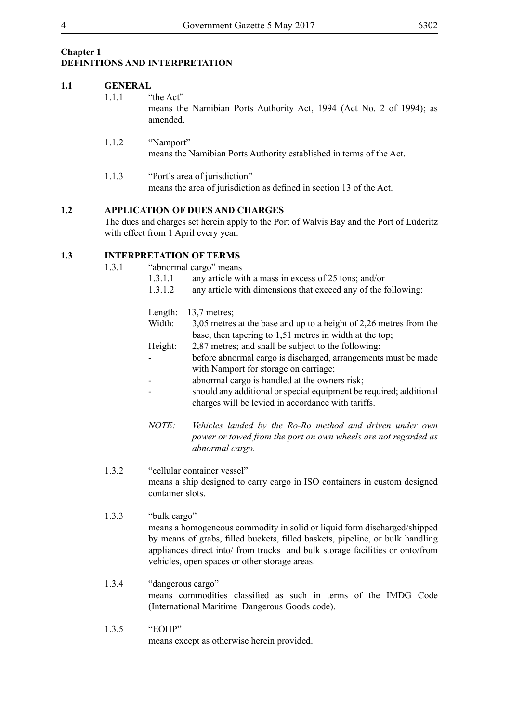# **Chapter 1 DEFINITIONS AND INTERPRETATION**

# **1.1 GENERAL** 1.1.1 "the Act" means the Namibian Ports Authority Act, 1994 (Act No. 2 of 1994); as amended. 1.1.2 "Namport"

means the Namibian Ports Authority established in terms of the Act.

1.1.3 "Port's area of jurisdiction" means the area of jurisdiction as defined in section 13 of the Act.

# **1.2 APPLICATION OF DUES AND CHARGES**

The dues and charges set herein apply to the Port of Walvis Bay and the Port of Lüderitz with effect from 1 April every year.

# **1.3 INTERPRETATION OF TERMS**

- 1.3.1 "abnormal cargo" means
	- 1.3.1.1 any article with a mass in excess of 25 tons; and/or
	- 1.3.1.2 any article with dimensions that exceed any of the following:

| Length: | $13.7$ metres;                                                     |
|---------|--------------------------------------------------------------------|
| Width:  | 3,05 metres at the base and up to a height of 2,26 metres from the |
|         | base, then tapering to 1,51 metres in width at the top;            |
| Height: | 2,87 metres; and shall be subject to the following:                |
|         | before abnormal cargo is discharged, arrangements must be made     |
|         | with Namport for storage on carriage;                              |
|         | abnormal cargo is handled at the owners risk;                      |
|         | should any additional or special equipment be required; additional |
|         | charges will be levied in accordance with tariffs.                 |

*NOTE: Vehicles landed by the Ro-Ro method and driven under own power or towed from the port on own wheels are not regarded as abnormal cargo.*

# 1.3.2 "cellular container vessel" means a ship designed to carry cargo in ISO containers in custom designed container slots.

- 1.3.3 "bulk cargo" means a homogeneous commodity in solid or liquid form discharged/shipped by means of grabs, filled buckets, filled baskets, pipeline, or bulk handling appliances direct into/ from trucks and bulk storage facilities or onto/from vehicles, open spaces or other storage areas.
- 1.3.4 "dangerous cargo" means commodities classified as such in terms of the IMDG Code (International Maritime Dangerous Goods code).
- 1.3.5 "EOHP" means except as otherwise herein provided.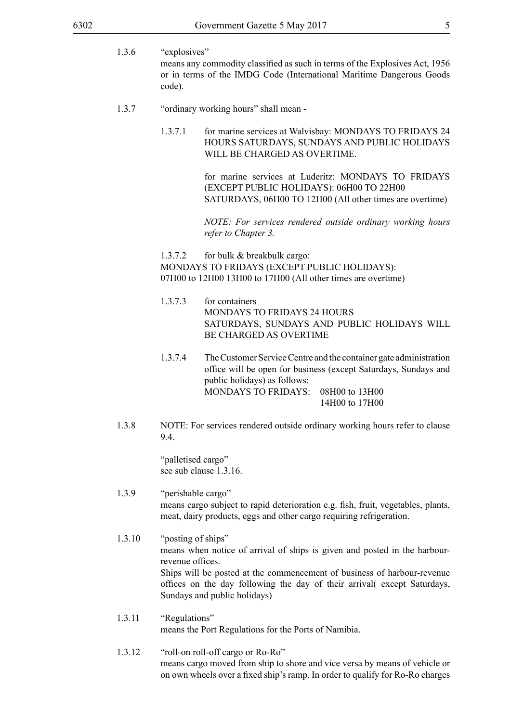- 1.3.6 "explosives" means any commodity classified as such in terms of the Explosives Act, 1956 or in terms of the IMDG Code (International Maritime Dangerous Goods code).
- 1.3.7 "ordinary working hours" shall mean
	- 1.3.7.1 for marine services at Walvisbay: MONDAYS TO FRIDAYS 24 HOURS SATURDAYS, SUNDAYS AND PUBLIC HOLIDAYS WILL BE CHARGED AS OVERTIME.

for marine services at Luderitz: MONDAYS TO FRIDAYS (EXCEPT PUBLIC HOLIDAYS): 06H00 TO 22H00 SATURDAYS, 06H00 TO 12H00 (All other times are overtime)

*NOTE: For services rendered outside ordinary working hours refer to Chapter 3.*

1.3.7.2 for bulk & breakbulk cargo: MONDAYS TO FRIDAYS (EXCEPT PUBLIC HOLIDAYS): 07H00 to 12H00 13H00 to 17H00 (All other times are overtime)

- 1.3.7.3 for containers MONDAYS TO FRIDAYS 24 HOURS SATURDAYS, SUNDAYS AND PUBLIC HOLIDAYS WILL BE CHARGED AS OVERTIME
- 1.3.7.4 The Customer Service Centre and the container gate administration office will be open for business (except Saturdays, Sundays and public holidays) as follows: MONDAYS TO FRIDAYS: 08H00 to 13H00 14H00 to 17H00
- 1.3.8 NOTE: For services rendered outside ordinary working hours refer to clause 9.4.

"palletised cargo" see sub clause 1.3.16.

- 1.3.9 "perishable cargo" means cargo subject to rapid deterioration e.g. fish, fruit, vegetables, plants, meat, dairy products, eggs and other cargo requiring refrigeration.
- 1.3.10 "posting of ships" means when notice of arrival of ships is given and posted in the harbourrevenue offices. Ships will be posted at the commencement of business of harbour-revenue offices on the day following the day of their arrival( except Saturdays, Sundays and public holidays)
- 1.3.11 "Regulations" means the Port Regulations for the Ports of Namibia.
- 1.3.12 "roll-on roll-off cargo or Ro-Ro" means cargo moved from ship to shore and vice versa by means of vehicle or on own wheels over a fixed ship's ramp. In order to qualify for Ro-Ro charges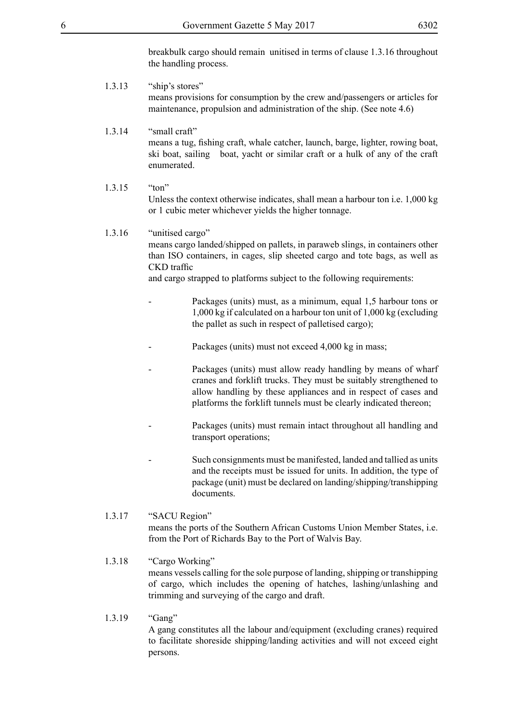breakbulk cargo should remain unitised in terms of clause 1.3.16 throughout the handling process.

- 1.3.13 "ship's stores" means provisions for consumption by the crew and/passengers or articles for maintenance, propulsion and administration of the ship. (See note 4.6)
- 1.3.14 "small craft" means a tug, fishing craft, whale catcher, launch, barge, lighter, rowing boat, ski boat, sailing boat, yacht or similar craft or a hulk of any of the craft enumerated.
- 1.3.15 "ton" Unless the context otherwise indicates, shall mean a harbour ton i.e. 1,000 kg or 1 cubic meter whichever yields the higher tonnage.

#### 1.3.16 "unitised cargo"

means cargo landed/shipped on pallets, in paraweb slings, in containers other than ISO containers, in cages, slip sheeted cargo and tote bags, as well as CKD traffic

and cargo strapped to platforms subject to the following requirements:

- Packages (units) must, as a minimum, equal 1,5 harbour tons or 1,000 kg if calculated on a harbour ton unit of 1,000 kg (excluding the pallet as such in respect of palletised cargo);
- Packages (units) must not exceed 4,000 kg in mass;
- Packages (units) must allow ready handling by means of wharf cranes and forklift trucks. They must be suitably strengthened to allow handling by these appliances and in respect of cases and platforms the forklift tunnels must be clearly indicated thereon;
- Packages (units) must remain intact throughout all handling and transport operations;
- Such consignments must be manifested, landed and tallied as units and the receipts must be issued for units. In addition, the type of package (unit) must be declared on landing/shipping/transhipping documents.

#### 1.3.17 "SACU Region" means the ports of the Southern African Customs Union Member States, i.e. from the Port of Richards Bay to the Port of Walvis Bay.

## 1.3.18 "Cargo Working" means vessels calling for the sole purpose of landing, shipping or transhipping of cargo, which includes the opening of hatches, lashing/unlashing and trimming and surveying of the cargo and draft.

1.3.19 "Gang"

A gang constitutes all the labour and/equipment (excluding cranes) required to facilitate shoreside shipping/landing activities and will not exceed eight persons.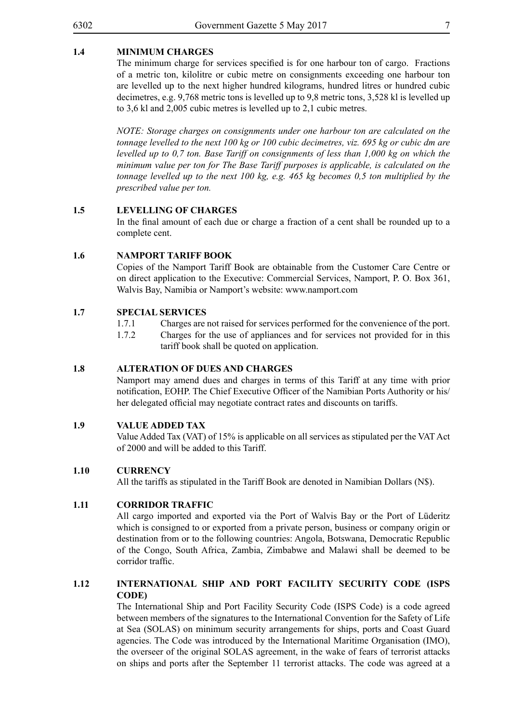# **1.4 MINIMUM CHARGES**

The minimum charge for services specified is for one harbour ton of cargo. Fractions of a metric ton, kilolitre or cubic metre on consignments exceeding one harbour ton are levelled up to the next higher hundred kilograms, hundred litres or hundred cubic decimetres, e.g. 9,768 metric tons is levelled up to 9,8 metric tons, 3,528 kl is levelled up to 3,6 kl and 2,005 cubic metres is levelled up to 2,1 cubic metres.

*NOTE: Storage charges on consignments under one harbour ton are calculated on the tonnage levelled to the next 100 kg or 100 cubic decimetres, viz. 695 kg or cubic dm are levelled up to 0,7 ton. Base Tariff on consignments of less than 1,000 kg on which the minimum value per ton for The Base Tariff purposes is applicable, is calculated on the tonnage levelled up to the next 100 kg, e.g. 465 kg becomes 0,5 ton multiplied by the prescribed value per ton.*

#### **1.5 LEVELLING OF CHARGES**

In the final amount of each due or charge a fraction of a cent shall be rounded up to a complete cent.

#### **1.6 NAMPORT TARIFF BOOK**

Copies of the Namport Tariff Book are obtainable from the Customer Care Centre or on direct application to the Executive: Commercial Services, Namport, P. O. Box 361, Walvis Bay, Namibia or Namport's website: www.namport.com

## **1.7 SPECIAL SERVICES**

- 1.7.1 Charges are not raised for services performed for the convenience of the port.
- 1.7.2 Charges for the use of appliances and for services not provided for in this tariff book shall be quoted on application.

#### **1.8 ALTERATION OF DUES AND CHARGES**

Namport may amend dues and charges in terms of this Tariff at any time with prior notification, EOHP. The Chief Executive Officer of the Namibian Ports Authority or his/ her delegated official may negotiate contract rates and discounts on tariffs.

#### **1.9 VALUE ADDED TAX**

Value Added Tax (VAT) of 15% is applicable on all services as stipulated per the VAT Act of 2000 and will be added to this Tariff.

#### **1.10 CURRENCY**

All the tariffs as stipulated in the Tariff Book are denoted in Namibian Dollars (N\$).

#### **1.11 CORRIDOR TRAFFIC**

All cargo imported and exported via the Port of Walvis Bay or the Port of Lüderitz which is consigned to or exported from a private person, business or company origin or destination from or to the following countries: Angola, Botswana, Democratic Republic of the Congo, South Africa, Zambia, Zimbabwe and Malawi shall be deemed to be corridor traffic.

#### **1.12 INTERNATIONAL SHIP AND PORT FACILITY SECURITY CODE (ISPS CODE)**

The International Ship and Port Facility Security Code (ISPS Code) is a code agreed between members of the signatures to the International Convention for the Safety of Life at Sea (SOLAS) on minimum security arrangements for ships, ports and Coast Guard agencies. The Code was introduced by the International Maritime Organisation (IMO), the overseer of the original SOLAS agreement, in the wake of fears of terrorist attacks on ships and ports after the September 11 terrorist attacks. The code was agreed at a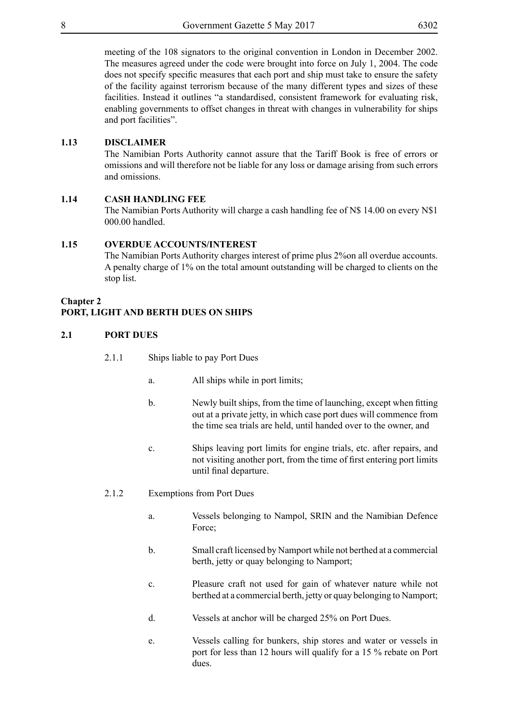meeting of the 108 signators to the original convention in London in December 2002. The measures agreed under the code were brought into force on July 1, 2004. The code does not specify specific measures that each port and ship must take to ensure the safety of the facility against terrorism because of the many different types and sizes of these facilities. Instead it outlines "a standardised, consistent framework for evaluating risk, enabling governments to offset changes in threat with changes in vulnerability for ships and port facilities".

# **1.13 DISCLAIMER**

The Namibian Ports Authority cannot assure that the Tariff Book is free of errors or omissions and will therefore not be liable for any loss or damage arising from such errors and omissions.

# **1.14 CASH HANDLING FEE**

The Namibian Ports Authority will charge a cash handling fee of N\$ 14.00 on every N\$1 000.00 handled.

#### **1.15 OVERDUE ACCOUNTS/INTEREST**

The Namibian Ports Authority charges interest of prime plus 2%on all overdue accounts. A penalty charge of 1% on the total amount outstanding will be charged to clients on the stop list.

#### **Chapter 2**

# **PORT, LIGHT AND BERTH DUES ON SHIPS**

#### **2.1 PORT DUES**

- 2.1.1 Ships liable to pay Port Dues
	- a. All ships while in port limits;
	- b. Newly built ships, from the time of launching, except when fitting out at a private jetty, in which case port dues will commence from the time sea trials are held, until handed over to the owner, and
	- c. Ships leaving port limits for engine trials, etc. after repairs, and not visiting another port, from the time of first entering port limits until final departure.
- 2.1.2 Exemptions from Port Dues
	- a. Vessels belonging to Nampol, SRIN and the Namibian Defence Force;
	- b. Small craft licensed by Namport while not berthed at a commercial berth, jetty or quay belonging to Namport;
	- c. Pleasure craft not used for gain of whatever nature while not berthed at a commercial berth, jetty or quay belonging to Namport;
	- d. Vessels at anchor will be charged 25% on Port Dues.
	- e. Vessels calling for bunkers, ship stores and water or vessels in port for less than 12 hours will qualify for a 15 % rebate on Port dues.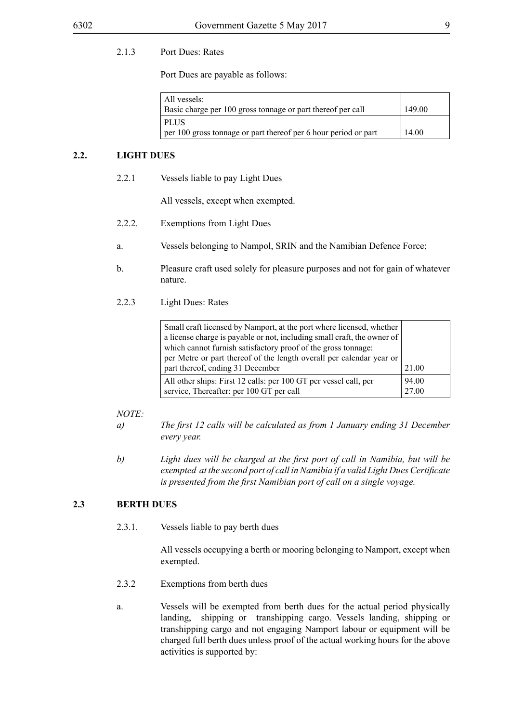# 2.1.3 Port Dues: Rates

Port Dues are payable as follows:

| All vessels:<br>Basic charge per 100 gross tonnage or part thereof per call | 149.00 |
|-----------------------------------------------------------------------------|--------|
| ' PLUS<br>per 100 gross tonnage or part thereof per 6 hour period or part   | 14.00  |

#### **2.2. LIGHT DUES**

2.2.1 Vessels liable to pay Light Dues

All vessels, except when exempted.

- 2.2.2. Exemptions from Light Dues
- a. Vessels belonging to Nampol, SRIN and the Namibian Defence Force;
- b. Pleasure craft used solely for pleasure purposes and not for gain of whatever nature.
- 2.2.3 Light Dues: Rates

| Small craft licensed by Namport, at the port where licensed, whether    |       |
|-------------------------------------------------------------------------|-------|
| a license charge is payable or not, including small craft, the owner of |       |
| which cannot furnish satisfactory proof of the gross tonnage:           |       |
| per Metre or part thereof of the length overall per calendar year or    |       |
| part thereof, ending 31 December                                        | 21.00 |
| All other ships: First 12 calls: per 100 GT per vessel call, per        | 94.00 |
| service, Thereafter: per 100 GT per call                                | 27.00 |

#### *NOTE:*

- *a) The first 12 calls will be calculated as from 1 January ending 31 December every year.*
- *b) Light dues will be charged at the first port of call in Namibia, but will be exempted at the second port of call in Namibia if a valid Light Dues Certificate is presented from the first Namibian port of call on a single voyage.*

# **2.3 BERTH DUES**

2.3.1. Vessels liable to pay berth dues

All vessels occupying a berth or mooring belonging to Namport, except when exempted.

- 2.3.2 Exemptions from berth dues
- a. Vessels will be exempted from berth dues for the actual period physically landing, shipping or transhipping cargo. Vessels landing, shipping or transhipping cargo and not engaging Namport labour or equipment will be charged full berth dues unless proof of the actual working hours for the above activities is supported by: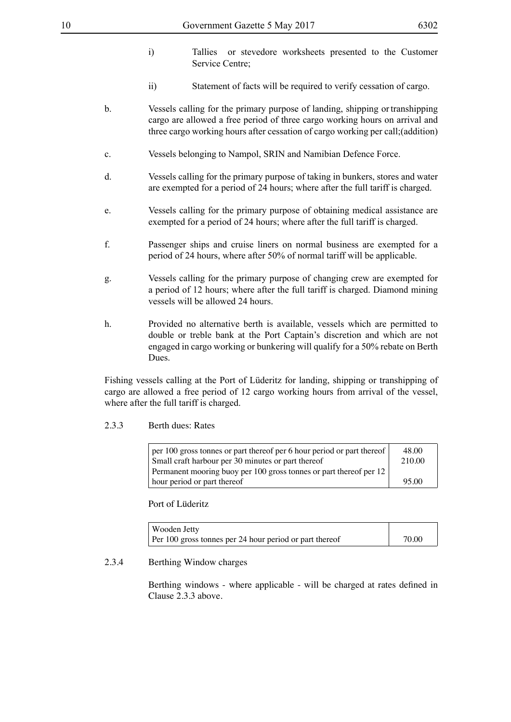- i) Tallies or stevedore worksheets presented to the Customer Service Centre;
- ii) Statement of facts will be required to verify cessation of cargo.
- b. Vessels calling for the primary purpose of landing, shipping or transhipping cargo are allowed a free period of three cargo working hours on arrival and three cargo working hours after cessation of cargo working per call;(addition)
- c. Vessels belonging to Nampol, SRIN and Namibian Defence Force.
- d. Vessels calling for the primary purpose of taking in bunkers, stores and water are exempted for a period of 24 hours; where after the full tariff is charged.
- e. Vessels calling for the primary purpose of obtaining medical assistance are exempted for a period of 24 hours; where after the full tariff is charged.
- f. Passenger ships and cruise liners on normal business are exempted for a period of 24 hours, where after 50% of normal tariff will be applicable.
- g. Vessels calling for the primary purpose of changing crew are exempted for a period of 12 hours; where after the full tariff is charged. Diamond mining vessels will be allowed 24 hours.
- h. Provided no alternative berth is available, vessels which are permitted to double or treble bank at the Port Captain's discretion and which are not engaged in cargo working or bunkering will qualify for a 50% rebate on Berth Dues.

Fishing vessels calling at the Port of Lüderitz for landing, shipping or transhipping of cargo are allowed a free period of 12 cargo working hours from arrival of the vessel, where after the full tariff is charged.

#### 2.3.3 Berth dues: Rates

| $\vert$ per 100 gross tonnes or part thereof per 6 hour period or part thereof $\vert$ | 48.00  |
|----------------------------------------------------------------------------------------|--------|
| Small craft harbour per 30 minutes or part thereof                                     | 210.00 |
| Permanent mooring buoy per 100 gross tonnes or part thereof per 12                     |        |
| I hour period or part thereof                                                          | 95.00  |

Port of Lüderitz

| Wooden Jetty                                            |       |
|---------------------------------------------------------|-------|
| Per 100 gross tonnes per 24 hour period or part thereof | 70.00 |

#### 2.3.4 Berthing Window charges

Berthing windows - where applicable - will be charged at rates defined in Clause 2.3.3 above.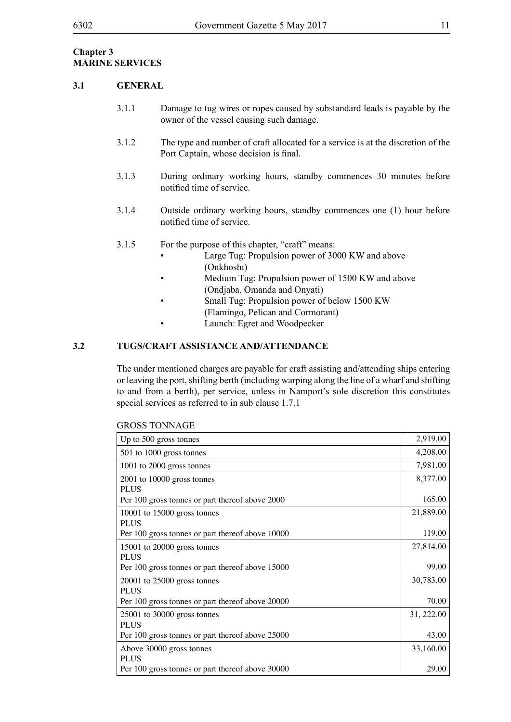# **Chapter 3 MARINE SERVICES**

#### **3.1 GENERAL**

- 3.1.1 Damage to tug wires or ropes caused by substandard leads is payable by the owner of the vessel causing such damage.
- 3.1.2 The type and number of craft allocated for a service is at the discretion of the Port Captain, whose decision is final.
- 3.1.3 During ordinary working hours, standby commences 30 minutes before notified time of service.
- 3.1.4 Outside ordinary working hours, standby commences one (1) hour before notified time of service.
- 3.1.5 For the purpose of this chapter, "craft" means:
	- Large Tug: Propulsion power of 3000 KW and above (Onkhoshi)
	- Medium Tug: Propulsion power of 1500 KW and above (Ondjaba, Omanda and Onyati)
	- Small Tug: Propulsion power of below 1500 KW
	- (Flamingo, Pelican and Cormorant)
	- Launch: Egret and Woodpecker

# **3.2 TUGS/CRAFT ASSISTANCE AND/ATTENDANCE**

The under mentioned charges are payable for craft assisting and/attending ships entering or leaving the port, shifting berth (including warping along the line of a wharf and shifting to and from a berth), per service, unless in Namport's sole discretion this constitutes special services as referred to in sub clause 1.7.1

| Up to 500 gross tonnes                           | 2,919.00   |
|--------------------------------------------------|------------|
| 501 to 1000 gross tonnes                         | 4,208.00   |
| 1001 to 2000 gross tonnes                        | 7,981.00   |
| $2001$ to $10000$ gross tonnes                   | 8,377.00   |
| <b>PLUS</b>                                      |            |
| Per 100 gross tonnes or part thereof above 2000  | 165.00     |
| $10001$ to $15000$ gross tonnes                  | 21,889.00  |
| <b>PLUS</b>                                      |            |
| Per 100 gross tonnes or part thereof above 10000 | 119.00     |
| 15001 to 20000 gross tonnes                      | 27,814.00  |
| <b>PLUS</b>                                      |            |
| Per 100 gross tonnes or part thereof above 15000 | 99.00      |
| $20001$ to $25000$ gross tonnes                  | 30,783.00  |
| <b>PLUS</b>                                      |            |
| Per 100 gross tonnes or part thereof above 20000 | 70.00      |
| $25001$ to 30000 gross tonnes                    | 31, 222.00 |
| <b>PLUS</b>                                      |            |
| Per 100 gross tonnes or part thereof above 25000 | 43.00      |
| Above 30000 gross tonnes                         | 33,160.00  |
| <b>PLUS</b>                                      |            |
| Per 100 gross tonnes or part thereof above 30000 | 29.00      |
|                                                  |            |

#### GROSS TONNAGE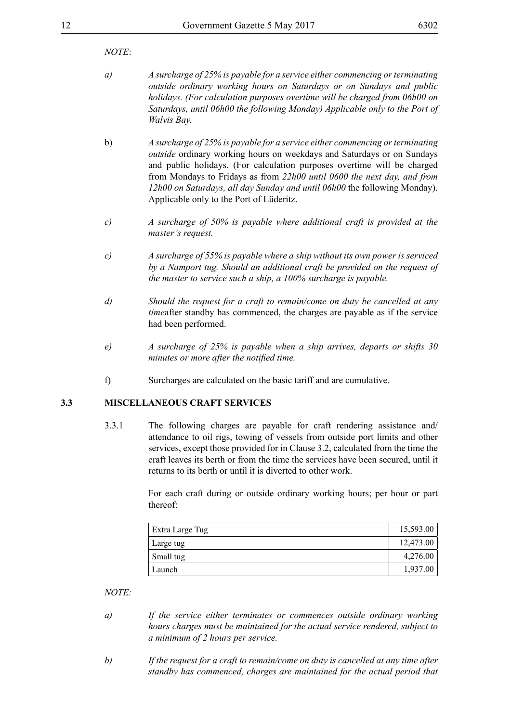## *NOTE*:

- *a) A surcharge of 25% is payable for a service either commencing or terminating outside ordinary working hours on Saturdays or on Sundays and public holidays. (For calculation purposes overtime will be charged from 06h00 on Saturdays, until 06h00 the following Monday) Applicable only to the Port of Walvis Bay.*
- b) *A surcharge of 25% is payable for a service either commencing or terminating outside* ordinary working hours on weekdays and Saturdays or on Sundays and public holidays. (For calculation purposes overtime will be charged from Mondays to Fridays as from *22h00 until 0600 the next day, and from 12h00 on Saturdays, all day Sunday and until 06h00* the following Monday). Applicable only to the Port of Lüderitz.
- *c) A surcharge of 50% is payable where additional craft is provided at the master's request.*
- *c) A surcharge of 55% is payable where a ship without its own power is serviced by a Namport tug. Should an additional craft be provided on the request of the master to service such a ship, a 100% surcharge is payable.*
- *d) Should the request for a craft to remain/come on duty be cancelled at any time*after standby has commenced, the charges are payable as if the service had been performed.
- *e) A surcharge of 25% is payable when a ship arrives, departs or shifts 30 minutes or more after the notified time.*
- f) Surcharges are calculated on the basic tariff and are cumulative.

# **3.3 MISCELLANEOUS CRAFT SERVICES**

3.3.1 The following charges are payable for craft rendering assistance and/ attendance to oil rigs, towing of vessels from outside port limits and other services, except those provided for in Clause 3.2, calculated from the time the craft leaves its berth or from the time the services have been secured, until it returns to its berth or until it is diverted to other work.

> For each craft during or outside ordinary working hours; per hour or part thereof:

| Extra Large Tug | 15,593.00 |
|-----------------|-----------|
| Large tug       | 12,473.00 |
| Small tug       | 4,276.00  |
| Launch          | 1,937.00  |

- *a) If the service either terminates or commences outside ordinary working hours charges must be maintained for the actual service rendered, subject to a minimum of 2 hours per service.*
- *b) If the request for a craft to remain/come on duty is cancelled at any time after standby has commenced, charges are maintained for the actual period that*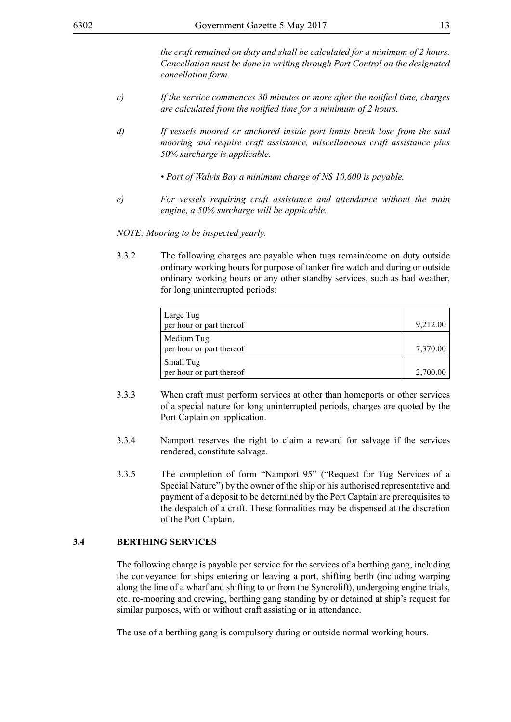*the craft remained on duty and shall be calculated for a minimum of 2 hours. Cancellation must be done in writing through Port Control on the designated cancellation form.*

- *c) If the service commences 30 minutes or more after the notified time, charges are calculated from the notified time for a minimum of 2 hours.*
- *d) If vessels moored or anchored inside port limits break lose from the said mooring and require craft assistance, miscellaneous craft assistance plus 50% surcharge is applicable.*
	- *Port of Walvis Bay a minimum charge of N\$ 10,600 is payable.*
- *e) For vessels requiring craft assistance and attendance without the main engine, a 50% surcharge will be applicable.*

*NOTE: Mooring to be inspected yearly.*

3.3.2 The following charges are payable when tugs remain/come on duty outside ordinary working hours for purpose of tanker fire watch and during or outside ordinary working hours or any other standby services, such as bad weather, for long uninterrupted periods:

| Large Tug<br>per hour or part thereof  | 9,212.00 |
|----------------------------------------|----------|
| Medium Tug<br>per hour or part thereof | 7,370.00 |
| Small Tug<br>per hour or part thereof  | 2,700.00 |

- 3.3.3 When craft must perform services at other than homeports or other services of a special nature for long uninterrupted periods, charges are quoted by the Port Captain on application.
- 3.3.4 Namport reserves the right to claim a reward for salvage if the services rendered, constitute salvage.
- 3.3.5 The completion of form "Namport 95" ("Request for Tug Services of a Special Nature") by the owner of the ship or his authorised representative and payment of a deposit to be determined by the Port Captain are prerequisites to the despatch of a craft. These formalities may be dispensed at the discretion of the Port Captain.

#### **3.4 BERTHING SERVICES**

The following charge is payable per service for the services of a berthing gang, including the conveyance for ships entering or leaving a port, shifting berth (including warping along the line of a wharf and shifting to or from the Syncrolift), undergoing engine trials, etc. re-mooring and crewing, berthing gang standing by or detained at ship's request for similar purposes, with or without craft assisting or in attendance.

The use of a berthing gang is compulsory during or outside normal working hours.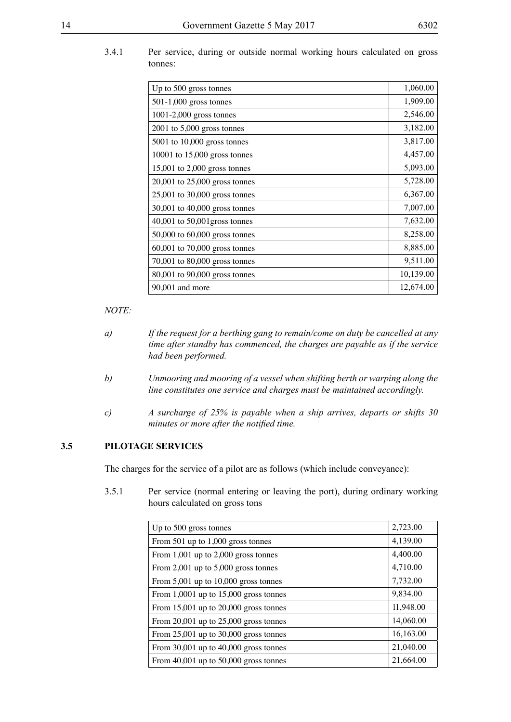# 3.4.1 Per service, during or outside normal working hours calculated on gross tonnes:

| Up to 500 gross tonnes            | 1,060.00  |
|-----------------------------------|-----------|
| 501-1,000 gross tonnes            | 1,909.00  |
| $1001-2,000$ gross tonnes         | 2,546.00  |
| $2001$ to 5,000 gross tonnes      | 3,182.00  |
| $5001$ to $10,000$ gross tonnes   | 3,817.00  |
| 10001 to $15,000$ gross tonnes    | 4,457.00  |
| 15,001 to 2,000 gross tonnes      | 5,093.00  |
| 20,001 to 25,000 gross tonnes     | 5,728.00  |
| 25,001 to 30,000 gross tonnes     | 6,367.00  |
| 30,001 to 40,000 gross tonnes     | 7,007.00  |
| $40,001$ to $50,001$ gross tonnes | 7,632.00  |
| 50,000 to 60,000 gross tonnes     | 8,258.00  |
| $60,001$ to $70,000$ gross tonnes | 8,885.00  |
| 70,001 to 80,000 gross tonnes     | 9,511.00  |
| 80,001 to 90,000 gross tonnes     | 10,139.00 |
| 90,001 and more                   | 12,674.00 |

#### *NOTE:*

- *a) If the request for a berthing gang to remain/come on duty be cancelled at any time after standby has commenced, the charges are payable as if the service had been performed.*
- *b) Unmooring and mooring of a vessel when shifting berth or warping along the line constitutes one service and charges must be maintained accordingly.*
- *c) A surcharge of 25% is payable when a ship arrives, departs or shifts 30 minutes or more after the notified time.*

# **3.5 PILOTAGE SERVICES**

The charges for the service of a pilot are as follows (which include conveyance):

3.5.1 Per service (normal entering or leaving the port), during ordinary working hours calculated on gross tons

| Up to 500 gross tonnes                        | 2,723.00  |
|-----------------------------------------------|-----------|
| From 501 up to $1,000$ gross tonnes           | 4,139.00  |
| From $1,001$ up to $2,000$ gross tonnes       | 4,400.00  |
| From $2,001$ up to $5,000$ gross tonnes       | 4,710.00  |
| From $5,001$ up to $10,000$ gross tonnes      | 7,732.00  |
| From $1,0001$ up to $15,000$ gross tonnes     | 9,834.00  |
| From $15,001$ up to $20,000$ gross tonnes     | 11,948.00 |
| From $20,001$ up to $25,000$ gross tonnes     | 14,060.00 |
| From $25{,}001$ up to $30{,}000$ gross tonnes | 16,163.00 |
| From $30,001$ up to $40,000$ gross tonnes     | 21,040.00 |
| From $40,001$ up to $50,000$ gross tonnes     | 21,664.00 |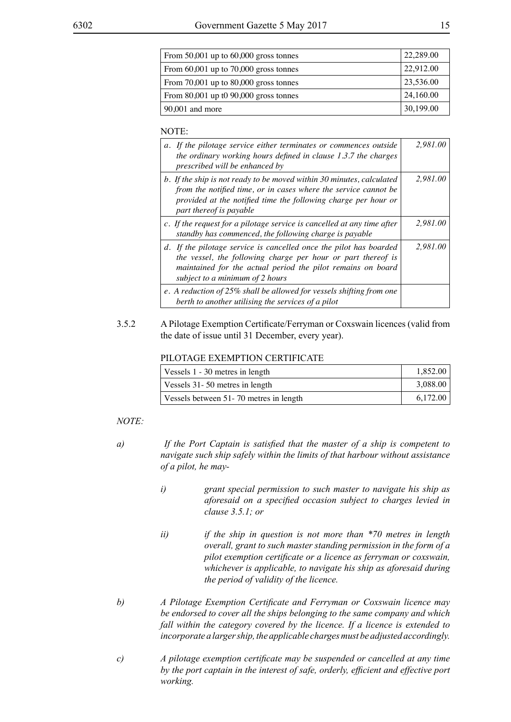| I<br>I<br>۰.<br>×<br>v |
|------------------------|
|------------------------|

| From $50,001$ up to $60,000$ gross tonnes | 22,289.00 |
|-------------------------------------------|-----------|
| From $60,001$ up to $70,000$ gross tonnes | 22,912.00 |
| From $70,001$ up to $80,000$ gross tonnes | 23,536.00 |
| From $80,001$ up t0 $90,000$ gross tonnes | 24,160.00 |
| $90,001$ and more                         | 30,199.00 |

#### NOTE:

| a. If the pilotage service either terminates or commences outside<br>the ordinary working hours defined in clause $1.3.7$ the charges<br>prescribed will be enhanced by                                                               | 2.981.00 |
|---------------------------------------------------------------------------------------------------------------------------------------------------------------------------------------------------------------------------------------|----------|
| b. If the ship is not ready to be moved within 30 minutes, calculated<br>from the notified time, or in cases where the service cannot be<br>provided at the notified time the following charge per hour or<br>part thereof is payable | 2,981.00 |
| c. If the request for a pilotage service is cancelled at any time after<br>standby has commenced, the following charge is payable                                                                                                     | 2,981.00 |
| d. If the pilotage service is cancelled once the pilot has boarded<br>the vessel, the following charge per hour or part thereof is<br>maintained for the actual period the pilot remains on board<br>subject to a minimum of 2 hours  | 2.981.00 |
| e. A reduction of 25% shall be allowed for vessels shifting from one<br>berth to another utilising the services of a pilot                                                                                                            |          |

#### 3.5.2 A Pilotage Exemption Certificate/Ferryman or Coxswain licences (valid from the date of issue until 31 December, every year).

#### PILOTAGE EXEMPTION CERTIFICATE

| Vessels 1 - 30 metres in length        | 1,852.00 |
|----------------------------------------|----------|
| Vessels 31-50 metres in length         | 3,088.00 |
| Vessels between 51-70 metres in length | 6.172.00 |

- *a) If the Port Captain is satisfied that the master of a ship is competent to navigate such ship safely within the limits of that harbour without assistance of a pilot, he may*
	- *i) grant special permission to such master to navigate his ship as aforesaid on a specified occasion subject to charges levied in clause 3.5.1; or*
	- *ii) if the ship in question is not more than \*70 metres in length overall, grant to such master standing permission in the form of a pilot exemption certificate or a licence as ferryman or coxswain, whichever is applicable, to navigate his ship as aforesaid during the period of validity of the licence.*
- *b) A Pilotage Exemption Certificate and Ferryman or Coxswain licence may be endorsed to cover all the ships belonging to the same company and which fall within the category covered by the licence. If a licence is extended to incorporate a larger ship, the applicable charges must be adjusted accordingly.*
- *c) A pilotage exemption certificate may be suspended or cancelled at any time by the port captain in the interest of safe, orderly, efficient and effective port working.*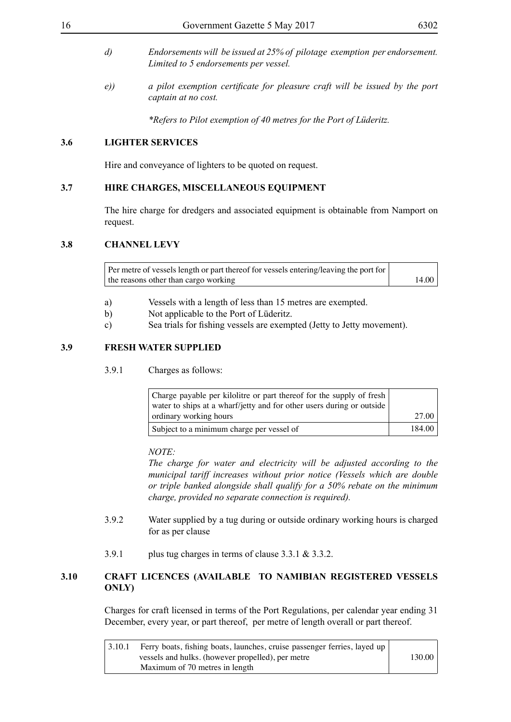- *d) Endorsements will be issued at 25% of pilotage exemption per endorsement. Limited to 5 endorsements per vessel.*
- *e)) a pilot exemption certificate for pleasure craft will be issued by the port captain at no cost.*

*\*Refers to Pilot exemption of 40 metres for the Port of Lüderitz.*

# **3.6 LIGHTER SERVICES**

Hire and conveyance of lighters to be quoted on request.

#### **3.7 HIRE CHARGES, MISCELLANEOUS EQUIPMENT**

The hire charge for dredgers and associated equipment is obtainable from Namport on request.

#### **3.8 CHANNEL LEVY**

Per metre of vessels length or part thereof for vessels entering/leaving the port for the reasons other than cargo working 14.00

- a) Vessels with a length of less than 15 metres are exempted.
- b) Not applicable to the Port of Lüderitz.
- c) Sea trials for fishing vessels are exempted (Jetty to Jetty movement).

#### **3.9 FRESH WATER SUPPLIED**

3.9.1 Charges as follows:

| Charge payable per kilolitre or part thereof for the supply of fresh<br>water to ships at a wharf/jetty and for other users during or outside |        |
|-----------------------------------------------------------------------------------------------------------------------------------------------|--------|
| ordinary working hours                                                                                                                        | 27.00  |
| Subject to a minimum charge per vessel of                                                                                                     | 184.00 |

#### *NOTE:*

*The charge for water and electricity will be adjusted according to the municipal tariff increases without prior notice (Vessels which are double or triple banked alongside shall qualify for a 50% rebate on the minimum charge, provided no separate connection is required).*

- 3.9.2 Water supplied by a tug during or outside ordinary working hours is charged for as per clause
- 3.9.1 plus tug charges in terms of clause 3.3.1 & 3.3.2.

# **3.10 CRAFT LICENCES (AVAILABLE TO NAMIBIAN REGISTERED VESSELS ONLY)**

Charges for craft licensed in terms of the Port Regulations, per calendar year ending 31 December, every year, or part thereof, per metre of length overall or part thereof.

| 3.10.1 | Ferry boats, fishing boats, launches, cruise passenger ferries, layed up |        |
|--------|--------------------------------------------------------------------------|--------|
|        | vessels and hulks. (however propelled), per metre                        | 130.00 |
|        | Maximum of 70 metres in length                                           |        |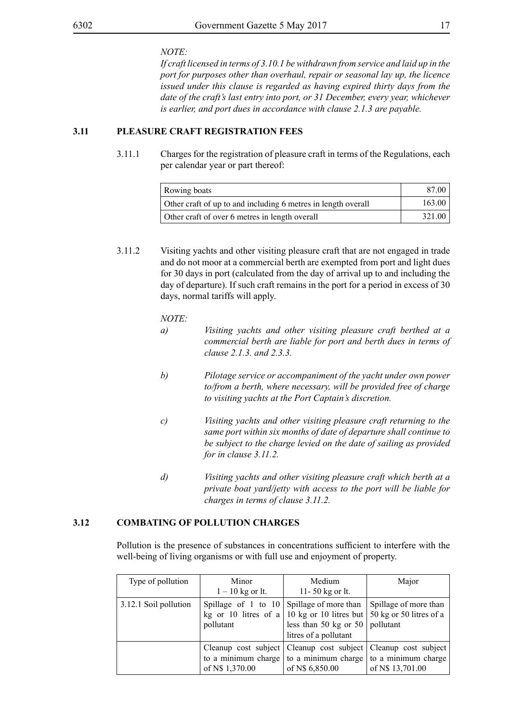*NOTE:*

*If craft licensed in terms of 3.10.1 be withdrawn from service and laid up in the port for purposes other than overhaul, repair or seasonal lay up, the licence issued under this clause is regarded as having expired thirty days from the date of the craft's last entry into port, or 31 December, every year, whichever is earlier, and port dues in accordance with clause 2.1.3 are payable.*

# **3.11 PLEASURE CRAFT REGISTRATION FEES**

3.11.1 Charges for the registration of pleasure craft in terms of the Regulations, each per calendar year or part thereof:

| Rowing boats                                                  | 87.00  |
|---------------------------------------------------------------|--------|
| Other craft of up to and including 6 metres in length overall | 163.00 |
| Other craft of over 6 metres in length overall                | 321.00 |

3.11.2 Visiting yachts and other visiting pleasure craft that are not engaged in trade and do not moor at a commercial berth are exempted from port and light dues for 30 days in port (calculated from the day of arrival up to and including the day of departure). If such craft remains in the port for a period in excess of 30 days, normal tariffs will apply.

*NOTE:*

- *a) Visiting yachts and other visiting pleasure craft berthed at a commercial berth are liable for port and berth dues in terms of clause 2.1.3. and 2.3.3.*
- *b) Pilotage service or accompaniment of the yacht under own power to/from a berth, where necessary, will be provided free of charge to visiting yachts at the Port Captain's discretion.*
- *c) Visiting yachts and other visiting pleasure craft returning to the same port within six months of date of departure shall continue to be subject to the charge levied on the date of sailing as provided for in clause 3.11.2.*
- *d) Visiting yachts and other visiting pleasure craft which berth at a private boat yard/jetty with access to the port will be liable for charges in terms of clause 3.11.2.*

# **3.12 COMBATING OF POLLUTION CHARGES**

Pollution is the presence of substances in concentrations sufficient to interfere with the well-being of living organisms or with full use and enjoyment of property.

| Type of pollution     | Minor<br>$1 - 10$ kg or lt.                                   | Medium<br>11-50 kg or lt.                                                                                                                          | Major                                                         |
|-----------------------|---------------------------------------------------------------|----------------------------------------------------------------------------------------------------------------------------------------------------|---------------------------------------------------------------|
| 3.12.1 Soil pollution | Spillage of 1 to $10 \mid$ Spillage of more than<br>pollutant | kg or 10 litres of a   10 kg or 10 litres but  <br>less than 50 kg or 50 $\vert$<br>litres of a pollutant                                          | Spillage of more than<br>50 kg or 50 litres of a<br>pollutant |
|                       | of N\$ 1,370.00                                               | Cleanup cost subject   Cleanup cost subject   Cleanup cost subject  <br>to a minimum charge $\vert$ to a minimum charge $\vert$<br>of N\$ 6,850.00 | to a minimum charge<br>of N\$ 13,701.00                       |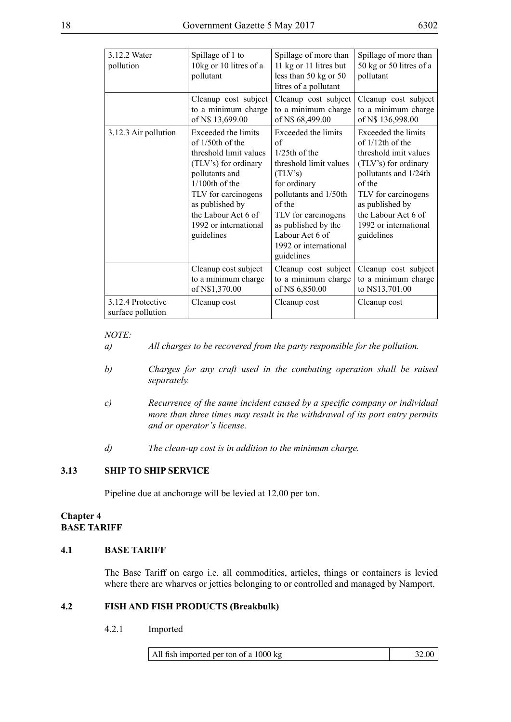| 3.12.2 Water<br>pollution              | Spillage of 1 to<br>10kg or 10 litres of a<br>pollutant                                                                                                                                                                                     | Spillage of more than<br>11 kg or 11 litres but<br>less than 50 kg or 50<br>litres of a pollutant                                                                                                                                          | Spillage of more than<br>50 kg or 50 litres of a<br>pollutant                                                                                                                                                                          |
|----------------------------------------|---------------------------------------------------------------------------------------------------------------------------------------------------------------------------------------------------------------------------------------------|--------------------------------------------------------------------------------------------------------------------------------------------------------------------------------------------------------------------------------------------|----------------------------------------------------------------------------------------------------------------------------------------------------------------------------------------------------------------------------------------|
|                                        | Cleanup cost subject<br>to a minimum charge<br>of N\$ 13,699.00                                                                                                                                                                             | Cleanup cost subject<br>to a minimum charge<br>of N\$ 68,499.00                                                                                                                                                                            | Cleanup cost subject<br>to a minimum charge<br>of N\$ 136,998.00                                                                                                                                                                       |
| 3.12.3 Air pollution                   | Exceeded the limits<br>of $1/50$ th of the<br>threshold limit values<br>(TLV's) for ordinary<br>pollutants and<br>$1/100$ th of the<br>TLV for carcinogens<br>as published by<br>the Labour Act 6 of<br>1992 or international<br>guidelines | Exceeded the limits<br>of<br>1/25th of the<br>threshold limit values<br>(TLV's)<br>for ordinary<br>pollutants and 1/50th<br>of the<br>TLV for carcinogens<br>as published by the<br>Labour Act 6 of<br>1992 or international<br>guidelines | Exceeded the limits<br>of $1/12$ th of the<br>threshold imit values<br>(TLV's) for ordinary<br>pollutants and 1/24th<br>of the<br>TLV for carcinogens<br>as published by<br>the Labour Act 6 of<br>1992 or international<br>guidelines |
|                                        | Cleanup cost subject<br>to a minimum charge<br>of N\$1,370.00                                                                                                                                                                               | Cleanup cost subject<br>to a minimum charge<br>of N\$ 6,850.00                                                                                                                                                                             | Cleanup cost subject<br>to a minimum charge<br>to N\$13,701.00                                                                                                                                                                         |
| 3.12.4 Protective<br>surface pollution | Cleanup cost                                                                                                                                                                                                                                | Cleanup cost                                                                                                                                                                                                                               | Cleanup cost                                                                                                                                                                                                                           |

#### *NOTE:*

- *a) All charges to be recovered from the party responsible for the pollution.*
- *b) Charges for any craft used in the combating operation shall be raised separately.*
- *c) Recurrence of the same incident caused by a specific company or individual more than three times may result in the withdrawal of its port entry permits and or operator's license.*
- *d) The clean-up cost is in addition to the minimum charge.*

#### **3.13 SHIP TO SHIP SERVICE**

Pipeline due at anchorage will be levied at 12.00 per ton.

#### **Chapter 4 BASE TARIFF**

# **4.1 BASE TARIFF**

The Base Tariff on cargo i.e. all commodities, articles, things or containers is levied where there are wharves or jetties belonging to or controlled and managed by Namport.

#### **4.2 FISH AND FISH PRODUCTS (Breakbulk)**

4.2.1 Imported

All fish imported per ton of a  $1000 \text{ kg}$  32.00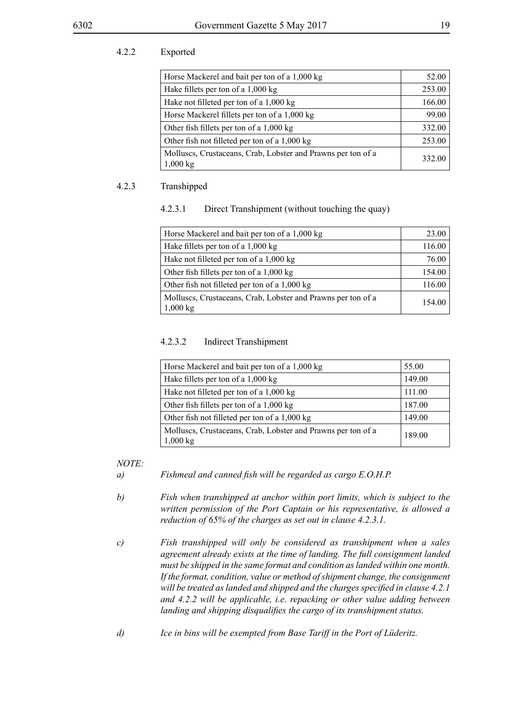# 4.2.2 Exported

| Horse Mackerel and bait per ton of a 1,000 kg                                      | 52.00  |
|------------------------------------------------------------------------------------|--------|
| Hake fillets per ton of a 1,000 kg                                                 | 253.00 |
| Hake not filleted per ton of a 1,000 kg                                            | 166.00 |
| Horse Mackerel fillets per ton of a 1,000 kg                                       | 99.00  |
| Other fish fillets per ton of a 1,000 kg                                           | 332.00 |
| Other fish not filleted per ton of a 1,000 kg                                      | 253.00 |
| Molluscs, Crustaceans, Crab, Lobster and Prawns per ton of a<br>$1,000 \text{ kg}$ | 332.00 |

## 4.2.3 Transhipped

#### 4.2.3.1 Direct Transhipment (without touching the quay)

| Horse Mackerel and bait per ton of a 1,000 kg                                      | 23.00  |
|------------------------------------------------------------------------------------|--------|
| Hake fillets per ton of a 1,000 kg                                                 | 116.00 |
| Hake not filleted per ton of a 1,000 kg                                            | 76.00  |
| Other fish fillets per ton of a $1,000 \text{ kg}$                                 | 154.00 |
| Other fish not filleted per ton of a 1,000 kg                                      | 116.00 |
| Molluscs, Crustaceans, Crab, Lobster and Prawns per ton of a<br>$1,000 \text{ kg}$ | 154.00 |

#### 4.2.3.2 Indirect Transhipment

| Horse Mackerel and bait per ton of a 1,000 kg                            | 55.00  |
|--------------------------------------------------------------------------|--------|
| Hake fillets per ton of a 1,000 kg                                       | 149.00 |
| Hake not filleted per ton of a 1,000 kg                                  | 111.00 |
| Other fish fillets per ton of a $1,000 \text{ kg}$                       | 187.00 |
| Other fish not filleted per ton of a 1,000 kg                            | 149.00 |
| Molluscs, Crustaceans, Crab, Lobster and Prawns per ton of a<br>1,000 kg | 189.00 |

#### *NOTE:*

*a) Fishmeal and canned fish will be regarded as cargo E.O.H.P.*

*b) Fish when transhipped at anchor within port limits, which is subject to the written permission of the Port Captain or his representative, is allowed a reduction of 65% of the charges as set out in clause 4.2.3.1.*

- *c) Fish transhipped will only be considered as transhipment when a sales agreement already exists at the time of landing. The full consignment landed must be shipped in the same format and condition as landed within one month. If the format, condition, value or method of shipment change, the consignment will be treated as landed and shipped and the charges specified in clause 4.2.1 and 4.2.2 will be applicable, i.e. repacking or other value adding between landing and shipping disqualifies the cargo of its transhipment status.*
- *d) Ice in bins will be exempted from Base Tariff in the Port of Lüderitz.*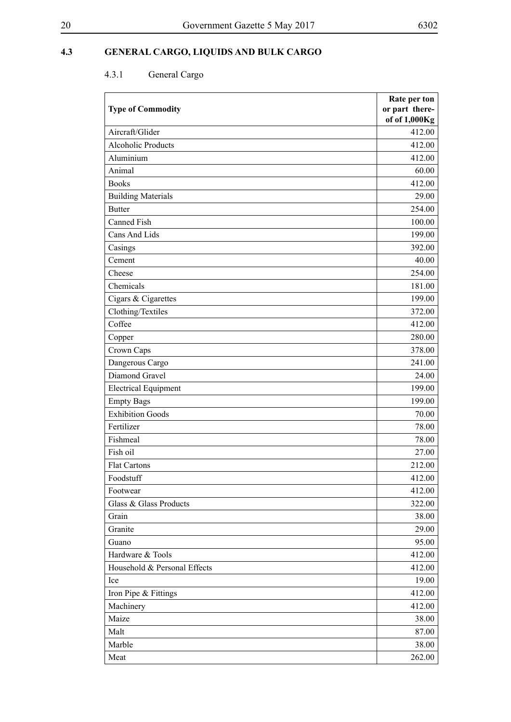# **4.3 GENERAL CARGO, LIQUIDS AND BULK CARGO**

# 4.3.1 General Cargo

| <b>Type of Commodity</b>     | Rate per ton<br>or part there- |
|------------------------------|--------------------------------|
|                              | of of 1,000Kg                  |
| Aircraft/Glider              | 412.00                         |
| <b>Alcoholic Products</b>    | 412.00                         |
| Aluminium                    | 412.00                         |
| Animal                       | 60.00                          |
| <b>Books</b>                 | 412.00                         |
| <b>Building Materials</b>    | 29.00                          |
| <b>Butter</b>                | 254.00                         |
| <b>Canned Fish</b>           | 100.00                         |
| Cans And Lids                | 199.00                         |
| Casings                      | 392.00                         |
| Cement                       | 40.00                          |
| Cheese                       | 254.00                         |
| Chemicals                    | 181.00                         |
| Cigars & Cigarettes          | 199.00                         |
| Clothing/Textiles            | 372.00                         |
| Coffee                       | 412.00                         |
| Copper                       | 280.00                         |
| Crown Caps                   | 378.00                         |
| Dangerous Cargo              | 241.00                         |
| Diamond Gravel               | 24.00                          |
| <b>Electrical Equipment</b>  | 199.00                         |
| <b>Empty Bags</b>            | 199.00                         |
| <b>Exhibition Goods</b>      | 70.00                          |
| Fertilizer                   | 78.00                          |
| Fishmeal                     | 78.00                          |
| Fish oil                     | 27.00                          |
| <b>Flat Cartons</b>          | 212.00                         |
| Foodstuff                    | 412.00                         |
| Footwear                     | 412.00                         |
| Glass & Glass Products       | 322.00                         |
| Grain                        | 38.00                          |
| Granite                      | 29.00                          |
| Guano                        | 95.00                          |
| Hardware & Tools             | 412.00                         |
| Household & Personal Effects | 412.00                         |
| Ice                          | 19.00                          |
| Iron Pipe & Fittings         | 412.00                         |
| Machinery                    | 412.00                         |
| Maize                        | 38.00                          |
| Malt                         | 87.00                          |
| Marble                       | 38.00                          |
| Meat                         | 262.00                         |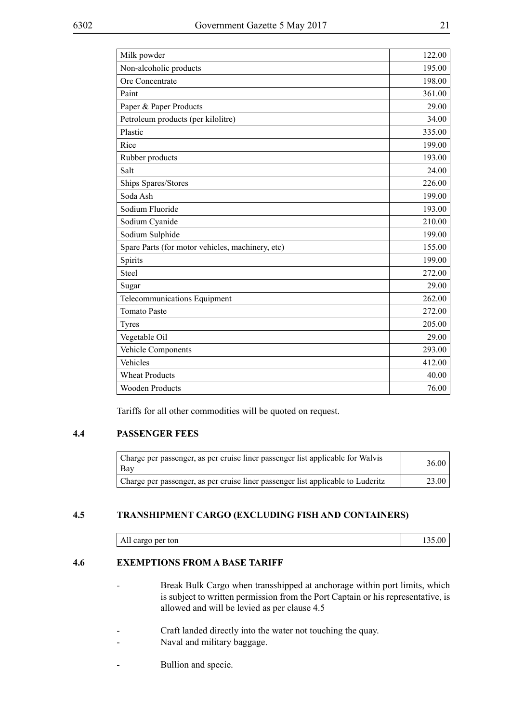| Milk powder                                      | 122.00 |
|--------------------------------------------------|--------|
| Non-alcoholic products                           | 195.00 |
| Ore Concentrate                                  | 198.00 |
| Paint                                            | 361.00 |
| Paper & Paper Products                           | 29.00  |
| Petroleum products (per kilolitre)               | 34.00  |
| Plastic                                          | 335.00 |
| Rice                                             | 199.00 |
| Rubber products                                  | 193.00 |
| Salt                                             | 24.00  |
| Ships Spares/Stores                              | 226.00 |
| Soda Ash                                         | 199.00 |
| Sodium Fluoride                                  | 193.00 |
| Sodium Cyanide                                   | 210.00 |
| Sodium Sulphide                                  | 199.00 |
| Spare Parts (for motor vehicles, machinery, etc) | 155.00 |
| Spirits                                          | 199.00 |
| Steel                                            | 272.00 |
| Sugar                                            | 29.00  |
| Telecommunications Equipment                     | 262.00 |
| <b>Tomato Paste</b>                              | 272.00 |
| <b>Tyres</b>                                     | 205.00 |
| Vegetable Oil                                    | 29.00  |
| Vehicle Components                               | 293.00 |
| Vehicles                                         | 412.00 |
| <b>Wheat Products</b>                            | 40.00  |
| <b>Wooden Products</b>                           | 76.00  |

Tariffs for all other commodities will be quoted on request.

# **4.4 PASSENGER FEES**

| Charge per passenger, as per cruise liner passenger list applicable for Walvis<br>Bay | 36.00 |
|---------------------------------------------------------------------------------------|-------|
| Charge per passenger, as per cruise liner passenger list applicable to Luderitz       | 23.00 |

# **4.5 TRANSHIPMENT CARGO (EXCLUDING FISH AND CONTAINERS)**

| <br>л<br>per<br>ton<br>All cargo |  |  |
|----------------------------------|--|--|
|----------------------------------|--|--|

# **4.6 EXEMPTIONS FROM A BASE TARIFF**

- Break Bulk Cargo when transshipped at anchorage within port limits, which is subject to written permission from the Port Captain or his representative, is allowed and will be levied as per clause 4.5
- Craft landed directly into the water not touching the quay.
- Naval and military baggage.
- Bullion and specie.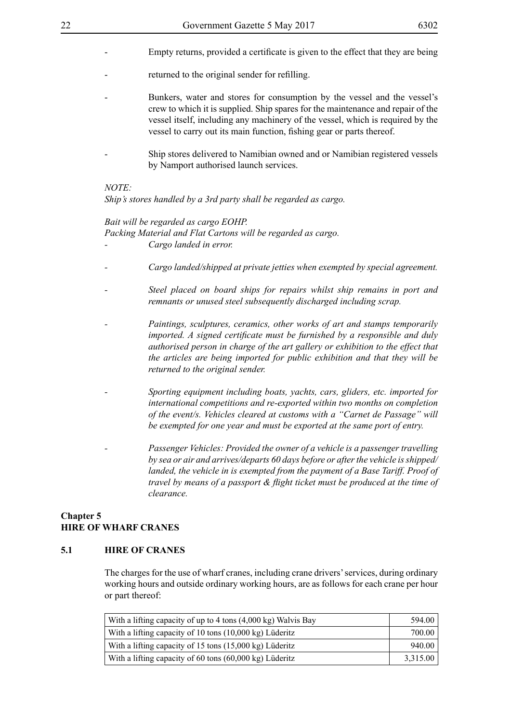- Empty returns, provided a certificate is given to the effect that they are being
- returned to the original sender for refilling.
	- Bunkers, water and stores for consumption by the vessel and the vessel's crew to which it is supplied. Ship spares for the maintenance and repair of the vessel itself, including any machinery of the vessel, which is required by the vessel to carry out its main function, fishing gear or parts thereof.
- Ship stores delivered to Namibian owned and or Namibian registered vessels by Namport authorised launch services.

#### *NOTE:*

*Ship's stores handled by a 3rd party shall be regarded as cargo.*

#### *Bait will be regarded as cargo EOHP.*

*Packing Material and Flat Cartons will be regarded as cargo.*

- *Cargo landed in error.*
- *Cargo landed/shipped at private jetties when exempted by special agreement.*
- *Steel placed on board ships for repairs whilst ship remains in port and remnants or unused steel subsequently discharged including scrap.*
- *Paintings, sculptures, ceramics, other works of art and stamps temporarily imported. A signed certificate must be furnished by a responsible and duly authorised person in charge of the art gallery or exhibition to the effect that the articles are being imported for public exhibition and that they will be returned to the original sender.*
- *Sporting equipment including boats, yachts, cars, gliders, etc. imported for international competitions and re-exported within two months on completion of the event/s. Vehicles cleared at customs with a "Carnet de Passage" will be exempted for one year and must be exported at the same port of entry.*
- *Passenger Vehicles: Provided the owner of a vehicle is a passenger travelling by sea or air and arrives/departs 60 days before or after the vehicle is shipped/ landed, the vehicle in is exempted from the payment of a Base Tariff. Proof of travel by means of a passport & flight ticket must be produced at the time of clearance.*

#### **Chapter 5 HIRE OF WHARF CRANES**

#### **5.1 HIRE OF CRANES**

The charges for the use of wharf cranes, including crane drivers' services, during ordinary working hours and outside ordinary working hours, are as follows for each crane per hour or part thereof:

| With a lifting capacity of up to 4 tons (4,000 kg) Walvis Bay | 594.00   |
|---------------------------------------------------------------|----------|
| With a lifting capacity of 10 tons (10,000 kg) Lüderitz       | 700.00   |
| With a lifting capacity of 15 tons (15,000 kg) Lüderitz       | 940.00   |
| With a lifting capacity of 60 tons (60,000 kg) Lüderitz       | 3,315.00 |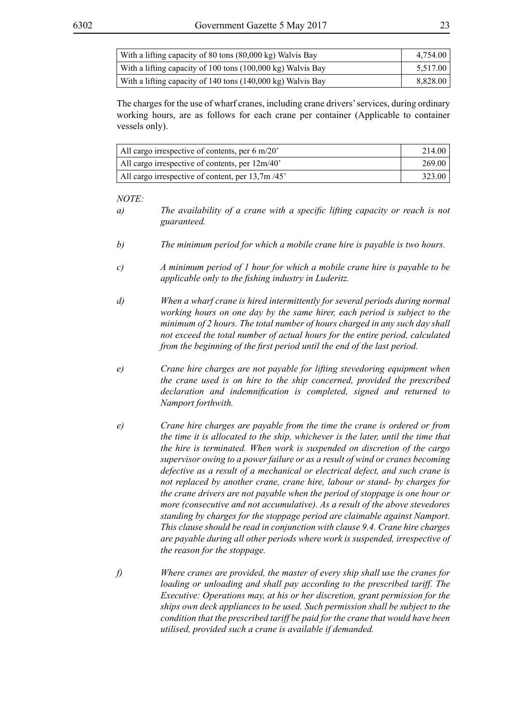| With a lifting capacity of 80 tons (80,000 kg) Walvis Bay   | 4,754.00 |
|-------------------------------------------------------------|----------|
| With a lifting capacity of 100 tons (100,000 kg) Walvis Bay | 5,517.00 |
| With a lifting capacity of 140 tons (140,000 kg) Walvis Bay | 8,828.00 |

The charges for the use of wharf cranes, including crane drivers' services, during ordinary working hours, are as follows for each crane per container (Applicable to container vessels only).

| All cargo irrespective of contents, per $6 \text{ m}/20$ | 214.00 |
|----------------------------------------------------------|--------|
| All cargo irrespective of contents, per 12m/40'          | 269.00 |
| All cargo irrespective of content, per 13,7m/45'         | 323.00 |

- *a) The availability of a crane with a specific lifting capacity or reach is not guaranteed.*
- *b) The minimum period for which a mobile crane hire is payable is two hours.*
- *c) A minimum period of 1 hour for which a mobile crane hire is payable to be applicable only to the fishing industry in Luderitz.*
- *d) When a wharf crane is hired intermittently for several periods during normal working hours on one day by the same hirer, each period is subject to the minimum of 2 hours. The total number of hours charged in any such day shall not exceed the total number of actual hours for the entire period, calculated from the beginning of the first period until the end of the last period.*
- *e) Crane hire charges are not payable for lifting stevedoring equipment when the crane used is on hire to the ship concerned, provided the prescribed declaration and indemnification is completed, signed and returned to Namport forthwith.*
- *e) Crane hire charges are payable from the time the crane is ordered or from the time it is allocated to the ship, whichever is the later, until the time that the hire is terminated. When work is suspended on discretion of the cargo supervisor owing to a power failure or as a result of wind or cranes becoming defective as a result of a mechanical or electrical defect, and such crane is not replaced by another crane, crane hire, labour or stand- by charges for the crane drivers are not payable when the period of stoppage is one hour or more (consecutive and not accumulative). As a result of the above stevedores standing by charges for the stoppage period are claimable against Namport. This clause should be read in conjunction with clause 9.4. Crane hire charges are payable during all other periods where work is suspended, irrespective of the reason for the stoppage.*
- *f) Where cranes are provided, the master of every ship shall use the cranes for loading or unloading and shall pay according to the prescribed tariff. The Executive: Operations may, at his or her discretion, grant permission for the ships own deck appliances to be used. Such permission shall be subject to the condition that the prescribed tariff be paid for the crane that would have been utilised, provided such a crane is available if demanded.*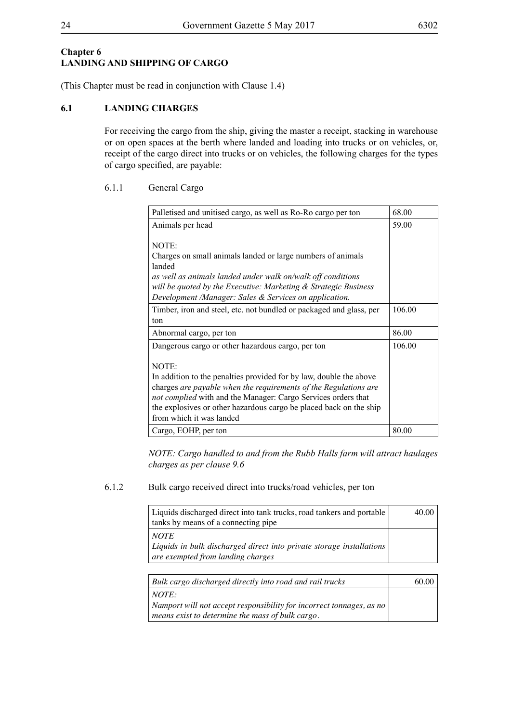# **Chapter 6 LANDING AND SHIPPING OF CARGO**

(This Chapter must be read in conjunction with Clause 1.4)

# **6.1 LANDING CHARGES**

For receiving the cargo from the ship, giving the master a receipt, stacking in warehouse or on open spaces at the berth where landed and loading into trucks or on vehicles, or, receipt of the cargo direct into trucks or on vehicles, the following charges for the types of cargo specified, are payable:

# 6.1.1 General Cargo

| Palletised and unitised cargo, as well as Ro-Ro cargo per ton                                                                     | 68.00  |
|-----------------------------------------------------------------------------------------------------------------------------------|--------|
| Animals per head                                                                                                                  | 59.00  |
| NOTE:                                                                                                                             |        |
| Charges on small animals landed or large numbers of animals                                                                       |        |
| landed                                                                                                                            |        |
| as well as animals landed under walk on/walk off conditions                                                                       |        |
| will be quoted by the Executive: Marketing & Strategic Business                                                                   |        |
| Development /Manager: Sales & Services on application.                                                                            |        |
| Timber, iron and steel, etc. not bundled or packaged and glass, per                                                               | 106.00 |
| ton                                                                                                                               |        |
| Abnormal cargo, per ton                                                                                                           | 86.00  |
| Dangerous cargo or other hazardous cargo, per ton                                                                                 | 106.00 |
|                                                                                                                                   |        |
| NOTE:                                                                                                                             |        |
| In addition to the penalties provided for by law, double the above                                                                |        |
| charges are payable when the requirements of the Regulations are<br>not complied with and the Manager: Cargo Services orders that |        |
| the explosives or other hazardous cargo be placed back on the ship                                                                |        |
| from which it was landed                                                                                                          |        |
| Cargo, EOHP, per ton                                                                                                              | 80.00  |

*NOTE: Cargo handled to and from the Rubb Halls farm will attract haulages charges as per clause 9.6*

# 6.1.2 Bulk cargo received direct into trucks/road vehicles, per ton

| Liquids discharged direct into tank trucks, road tankers and portable | 40.00 |
|-----------------------------------------------------------------------|-------|
| tanks by means of a connecting pipe                                   |       |
| <b>NOTE</b>                                                           |       |
| Liquids in bulk discharged direct into private storage installations  |       |
| are exempted from landing charges                                     |       |
|                                                                       |       |
| Bulk cargo discharged directly into road and rail trucks              |       |
|                                                                       |       |

*NOTE: Namport will not accept responsibility for incorrect tonnages, as no means exist to determine the mass of bulk cargo.*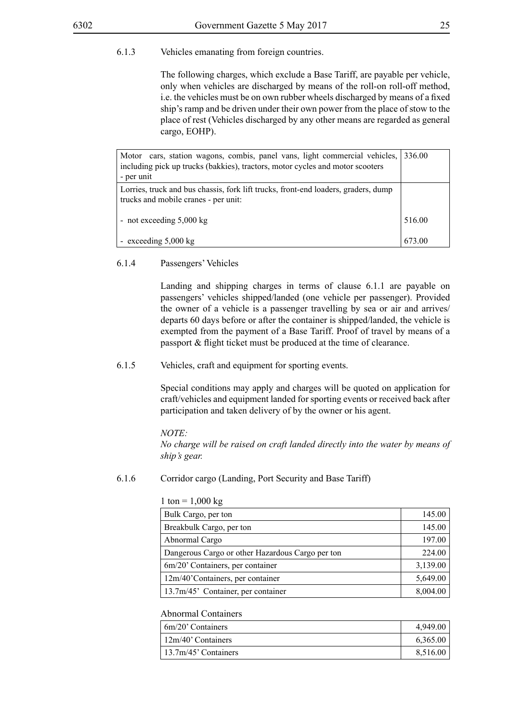The following charges, which exclude a Base Tariff, are payable per vehicle, only when vehicles are discharged by means of the roll-on roll-off method, i.e. the vehicles must be on own rubber wheels discharged by means of a fixed ship's ramp and be driven under their own power from the place of stow to the place of rest (Vehicles discharged by any other means are regarded as general cargo, EOHP).

| Motor cars, station wagons, combis, panel vans, light commercial vehicles,<br>including pick up trucks (bakkies), tractors, motor cycles and motor scooters<br>- per unit | 336.00 |
|---------------------------------------------------------------------------------------------------------------------------------------------------------------------------|--------|
| Lorries, truck and bus chassis, fork lift trucks, front-end loaders, graders, dump<br>trucks and mobile cranes - per unit:                                                |        |
| - not exceeding $5,000 \text{ kg}$                                                                                                                                        | 516.00 |
| - exceeding $5,000 \text{ kg}$                                                                                                                                            | 673.00 |

#### 6.1.4 Passengers' Vehicles

Landing and shipping charges in terms of clause 6.1.1 are payable on passengers' vehicles shipped/landed (one vehicle per passenger). Provided the owner of a vehicle is a passenger travelling by sea or air and arrives/ departs 60 days before or after the container is shipped/landed, the vehicle is exempted from the payment of a Base Tariff. Proof of travel by means of a passport & flight ticket must be produced at the time of clearance.

#### 6.1.5 Vehicles, craft and equipment for sporting events.

Special conditions may apply and charges will be quoted on application for craft/vehicles and equipment landed for sporting events or received back after participation and taken delivery of by the owner or his agent.

#### *NOTE:*

*No charge will be raised on craft landed directly into the water by means of ship's gear.*

#### 6.1.6 Corridor cargo (Landing, Port Security and Base Tariff)

| Bulk Cargo, per ton                              | 145.00   |
|--------------------------------------------------|----------|
| Breakbulk Cargo, per ton                         | 145.00   |
| Abnormal Cargo                                   | 197.00   |
| Dangerous Cargo or other Hazardous Cargo per ton | 224.00   |
| 6m/20' Containers, per container                 | 3,139.00 |
| 12m/40'Containers, per container                 | 5,649.00 |
| 13.7m/45' Container, per container               | 8,004.00 |

#### 1 ton =  $1,000 \text{ kg}$

#### Abnormal Containers

| 6m/20' Containers       | 4,949.00 |
|-------------------------|----------|
| $12m/40$ ' Containers   | 6,365.00 |
| $13.7m/45$ ' Containers | 8,516.00 |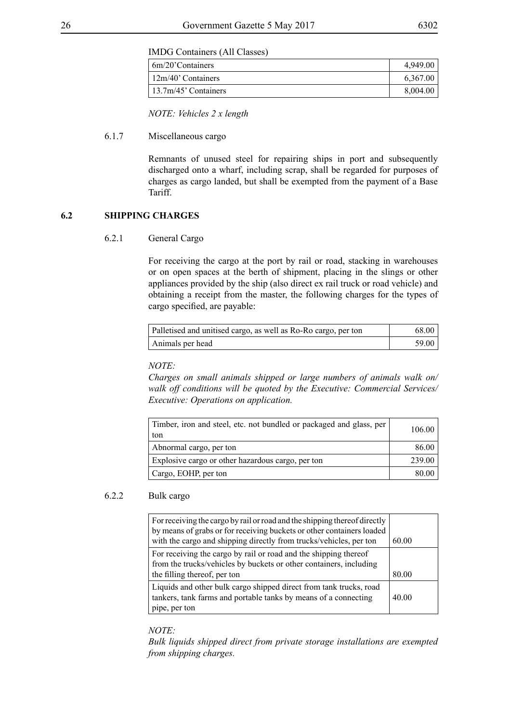IMDG Containers (All Classes)

| 6m/20'Containers      | 4,949.00 |
|-----------------------|----------|
| $12m/40$ ' Containers | 6,367.00 |
| 13.7m/45' Containers  | 8,004.00 |

*NOTE: Vehicles 2 x length*

#### 6.1.7 Miscellaneous cargo

Remnants of unused steel for repairing ships in port and subsequently discharged onto a wharf, including scrap, shall be regarded for purposes of charges as cargo landed, but shall be exempted from the payment of a Base Tariff.

#### **6.2 SHIPPING CHARGES**

#### 6.2.1 General Cargo

For receiving the cargo at the port by rail or road, stacking in warehouses or on open spaces at the berth of shipment, placing in the slings or other appliances provided by the ship (also direct ex rail truck or road vehicle) and obtaining a receipt from the master, the following charges for the types of cargo specified, are payable:

| Palletised and unitised cargo, as well as Ro-Ro cargo, per ton | 68.00 |
|----------------------------------------------------------------|-------|
| Animals per head                                               | 59.00 |

#### *NOTE:*

*Charges on small animals shipped or large numbers of animals walk on/ walk off conditions will be quoted by the Executive: Commercial Services/ Executive: Operations on application.*

| Timber, iron and steel, etc. not bundled or packaged and glass, per<br>ton | 106.00 |
|----------------------------------------------------------------------------|--------|
| Abnormal cargo, per ton                                                    | 86.00  |
| Explosive cargo or other hazardous cargo, per ton                          | 239.00 |
| Cargo, EOHP, per ton                                                       | 80.00  |

#### 6.2.2 Bulk cargo

| For receiving the cargo by rail or road and the shipping thereof directly<br>by means of grabs or for receiving buckets or other containers loaded<br>with the cargo and shipping directly from trucks/vehicles, per ton | 60.00 |
|--------------------------------------------------------------------------------------------------------------------------------------------------------------------------------------------------------------------------|-------|
| For receiving the cargo by rail or road and the shipping thereof<br>from the trucks/vehicles by buckets or other containers, including                                                                                   |       |
| the filling thereof, per ton                                                                                                                                                                                             | 80.00 |
| Liquids and other bulk cargo shipped direct from tank trucks, road<br>tankers, tank farms and portable tanks by means of a connecting<br>pipe, per ton                                                                   | 40.00 |

*NOTE:*

*Bulk liquids shipped direct from private storage installations are exempted from shipping charges.*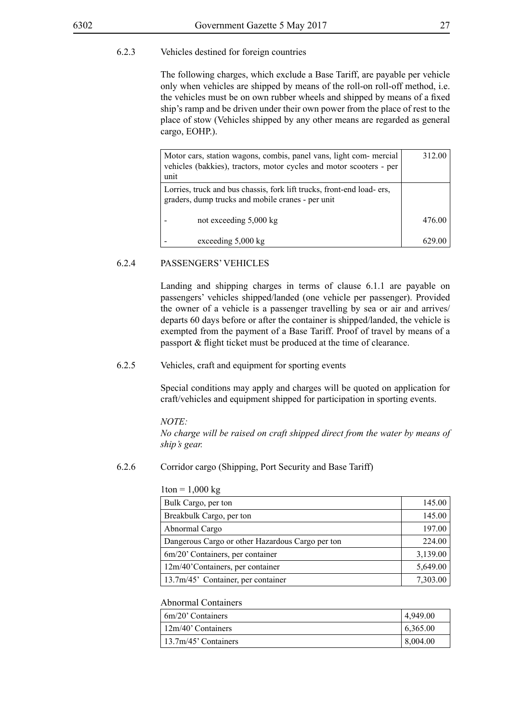#### 6.2.3 Vehicles destined for foreign countries

The following charges, which exclude a Base Tariff, are payable per vehicle only when vehicles are shipped by means of the roll-on roll-off method, i.e. the vehicles must be on own rubber wheels and shipped by means of a fixed ship's ramp and be driven under their own power from the place of rest to the place of stow (Vehicles shipped by any other means are regarded as general cargo, EOHP.).

| Motor cars, station wagons, combis, panel vans, light com-mercial<br>vehicles (bakkies), tractors, motor cycles and motor scooters - per<br>unit | 312.00 |
|--------------------------------------------------------------------------------------------------------------------------------------------------|--------|
| Lorries, truck and bus chassis, fork lift trucks, front-end load-ers,<br>graders, dump trucks and mobile cranes - per unit                       |        |
| not exceeding $5,000 \text{ kg}$                                                                                                                 | 476.00 |
| exceeding 5,000 kg                                                                                                                               |        |

#### 6.2.4 PASSENGERS' VEHICLES

Landing and shipping charges in terms of clause 6.1.1 are payable on passengers' vehicles shipped/landed (one vehicle per passenger). Provided the owner of a vehicle is a passenger travelling by sea or air and arrives/ departs 60 days before or after the container is shipped/landed, the vehicle is exempted from the payment of a Base Tariff. Proof of travel by means of a passport & flight ticket must be produced at the time of clearance.

#### 6.2.5 Vehicles, craft and equipment for sporting events

Special conditions may apply and charges will be quoted on application for craft/vehicles and equipment shipped for participation in sporting events.

#### *NOTE:*

*No charge will be raised on craft shipped direct from the water by means of ship's gear.*

#### 6.2.6 Corridor cargo (Shipping, Port Security and Base Tariff)

#### $1$ ton =  $1,000$  kg

| Bulk Cargo, per ton                              | 145.00   |
|--------------------------------------------------|----------|
| Breakbulk Cargo, per ton                         | 145.00   |
| Abnormal Cargo                                   | 197.00   |
| Dangerous Cargo or other Hazardous Cargo per ton | 224.00   |
| 6m/20' Containers, per container                 | 3,139.00 |
| 12m/40'Containers, per container                 | 5,649.00 |
| 13.7m/45' Container, per container               | 7,303.00 |

#### Abnormal Containers

| $6m/20$ ' Containers        | 4,949.00 |
|-----------------------------|----------|
| $\frac{12m}{40}$ Containers | 6,365.00 |
| $13.7m/45$ ' Containers     | 8,004.00 |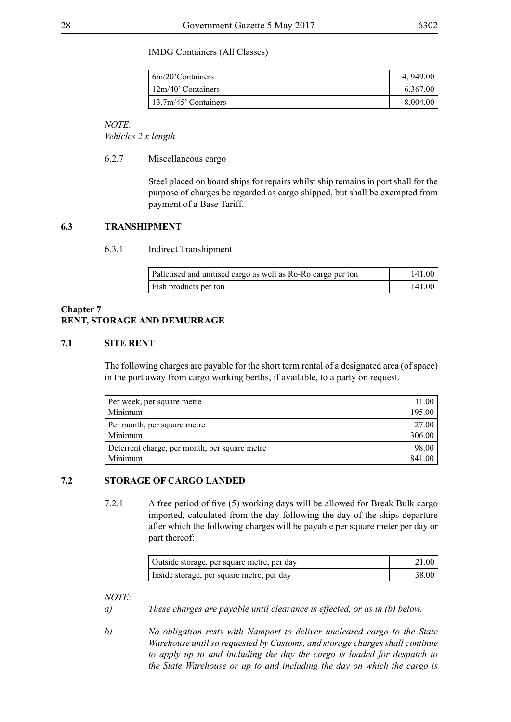#### IMDG Containers (All Classes)

| 6m/20'Containers        | 4, 949.00 |
|-------------------------|-----------|
| $12m/40$ ' Containers   | 6,367.00  |
| $13.7m/45$ ' Containers | 8,004.00  |

*NOTE:*

*Vehicles 2 x length*

#### 6.2.7 Miscellaneous cargo

Steel placed on board ships for repairs whilst ship remains in port shall for the purpose of charges be regarded as cargo shipped, but shall be exempted from payment of a Base Tariff.

#### **6.3 TRANSHIPMENT**

#### 6.3.1 Indirect Transhipment

| Palletised and unitised cargo as well as Ro-Ro cargo per ton | 141.00 |
|--------------------------------------------------------------|--------|
| Fish products per ton                                        | 141.00 |

# **Chapter 7 RENT, STORAGE AND DEMURRAGE**

#### **7.1 SITE RENT**

The following charges are payable for the short term rental of a designated area (of space) in the port away from cargo working berths, if available, to a party on request.

| Per week, per square metre                    | 11.00  |
|-----------------------------------------------|--------|
| Minimum                                       | 195.00 |
| Per month, per square metre                   | 27.00  |
| Minimum                                       | 306.00 |
| Deterrent charge, per month, per square metre | 98.00  |
| Minimum                                       | 841.00 |

#### **7.2 STORAGE OF CARGO LANDED**

7.2.1 A free period of five (5) working days will be allowed for Break Bulk cargo imported, calculated from the day following the day of the ships departure after which the following charges will be payable per square meter per day or part thereof:

| Outside storage, per square metre, per day | 21.00 |
|--------------------------------------------|-------|
| Inside storage, per square metre, per day  | 38.00 |

- *a) These charges are payable until clearance is effected, or as in (b) below.*
- *b) No obligation rests with Namport to deliver uncleared cargo to the State Warehouse until so requested by Customs, and storage charges shall continue to apply up to and including the day the cargo is loaded for despatch to the State Warehouse or up to and including the day on which the cargo is*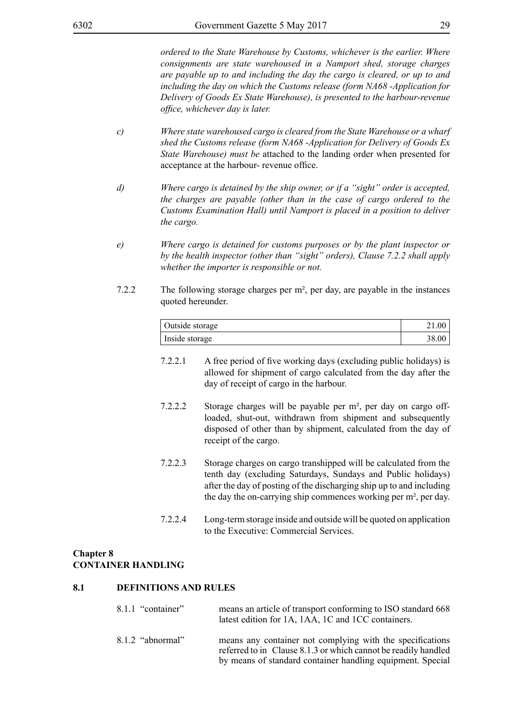*ordered to the State Warehouse by Customs, whichever is the earlier. Where consignments are state warehoused in a Namport shed, storage charges are payable up to and including the day the cargo is cleared, or up to and including the day on which the Customs release (form NA68 -Application for Delivery of Goods Ex State Warehouse), is presented to the harbour-revenue office, whichever day is later.*

- *c) Where state warehoused cargo is cleared from the State Warehouse or a wharf shed the Customs release (form NA68 -Application for Delivery of Goods Ex State Warehouse) must be* attached to the landing order when presented for acceptance at the harbour- revenue office.
- *d) Where cargo is detained by the ship owner, or if a "sight" order is accepted, the charges are payable (other than in the case of cargo ordered to the Customs Examination Hall) until Namport is placed in a position to deliver the cargo.*
- *e) Where cargo is detained for customs purposes or by the plant inspector or by the health inspector (other than "sight" orders), Clause 7.2.2 shall apply whether the importer is responsible or not.*
- 7.2.2 The following storage charges per m², per day, are payable in the instances quoted hereunder.

| Outside storage | $\sim 1.00$ |
|-----------------|-------------|
| Inside storage  | 38.00       |

- 7.2.2.1 A free period of five working days (excluding public holidays) is allowed for shipment of cargo calculated from the day after the day of receipt of cargo in the harbour.
- 7.2.2.2 Storage charges will be payable per m², per day on cargo offloaded, shut-out, withdrawn from shipment and subsequently disposed of other than by shipment, calculated from the day of receipt of the cargo.
- 7.2.2.3 Storage charges on cargo transhipped will be calculated from the tenth day (excluding Saturdays, Sundays and Public holidays) after the day of posting of the discharging ship up to and including the day the on-carrying ship commences working per m², per day.
- 7.2.2.4 Long-term storage inside and outside will be quoted on application to the Executive: Commercial Services.

#### **Chapter 8 CONTAINER HANDLING**

#### **8.1 DEFINITIONS AND RULES**

| 8.1.1 "container"  | means an article of transport conforming to ISO standard 668<br>latest edition for 1A, 1AA, 1C and 1CC containers.                                                                        |
|--------------------|-------------------------------------------------------------------------------------------------------------------------------------------------------------------------------------------|
| $8.1.2$ "abnormal" | means any container not complying with the specifications<br>referred to in Clause 8.1.3 or which cannot be readily handled<br>by means of standard container handling equipment. Special |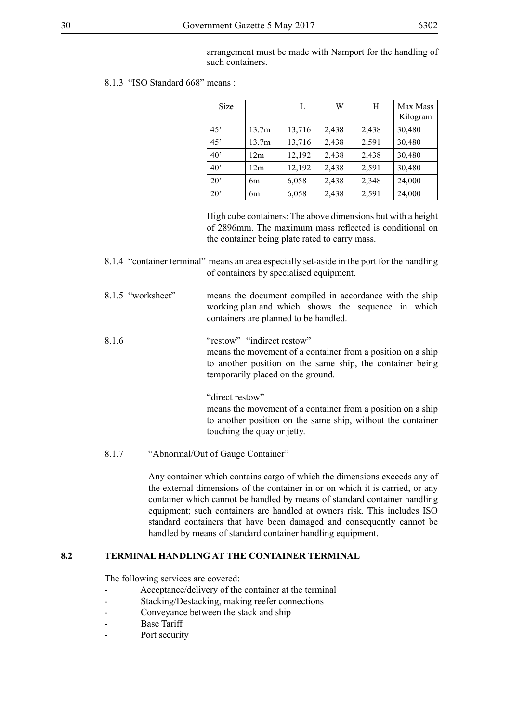arrangement must be made with Namport for the handling of such containers.

8.1.3 "ISO Standard 668" means :

| Size         |       | L      | W     | H     | Max Mass<br>Kilogram |
|--------------|-------|--------|-------|-------|----------------------|
| 45'          | 13.7m | 13,716 | 2,438 | 2,438 | 30,480               |
| 45'          | 13.7m | 13,716 | 2,438 | 2,591 | 30,480               |
| 40'          | 12m   | 12,192 | 2,438 | 2,438 | 30,480               |
| $40^{\circ}$ | 12m   | 12,192 | 2,438 | 2,591 | 30,480               |
| $20^{\circ}$ | 6m    | 6,058  | 2,438 | 2,348 | 24,000               |
| $20^{\circ}$ | 6m    | 6,058  | 2,438 | 2,591 | 24,000               |

High cube containers: The above dimensions but with a height of 2896mm. The maximum mass reflected is conditional on the container being plate rated to carry mass.

8.1.4 "container terminal" means an area especially set-aside in the port for the handling of containers by specialised equipment.

8.1.5 "worksheet" means the document compiled in accordance with the ship working plan and which shows the sequence in which containers are planned to be handled.

# 8.1.6 "restow" "indirect restow" means the movement of a container from a position on a ship to another position on the same ship, the container being temporarily placed on the ground.

"direct restow"

means the movement of a container from a position on a ship to another position on the same ship, without the container touching the quay or jetty.

8.1.7 "Abnormal/Out of Gauge Container"

Any container which contains cargo of which the dimensions exceeds any of the external dimensions of the container in or on which it is carried, or any container which cannot be handled by means of standard container handling equipment; such containers are handled at owners risk. This includes ISO standard containers that have been damaged and consequently cannot be handled by means of standard container handling equipment.

# **8.2 TERMINAL HANDLING AT THE CONTAINER TERMINAL**

The following services are covered:

- Acceptance/delivery of the container at the terminal
- Stacking/Destacking, making reefer connections
- Conveyance between the stack and ship
- **Base Tariff**
- Port security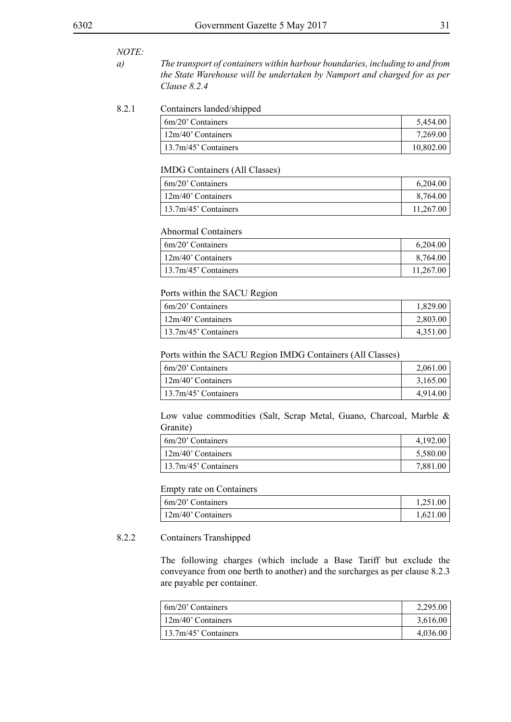#### *NOTE:*

*a) The transport of containers within harbour boundaries, including to and from the State Warehouse will be undertaken by Namport and charged for as per Clause 8.2.4*

#### 8.2.1 Containers landed/shipped

| $\frac{1}{20}$ Containers | 5,454.00  |
|---------------------------|-----------|
| 12m/40' Containers        | 7,269.00  |
| 13.7m/45' Containers      | 10,802.00 |

#### IMDG Containers (All Classes)

| $\frac{1}{20}$ Containers   | 6,204.00  |
|-----------------------------|-----------|
| $\frac{12m}{40}$ Containers | 8,764.00  |
| $13.7m/45$ ' Containers     | 11.267.00 |

#### Abnormal Containers

| 6m/20' Containers    | 6,204.00  |
|----------------------|-----------|
| 12m/40' Containers   | 8,764.00  |
| 13.7m/45' Containers | 11,267.00 |

#### Ports within the SACU Region

| $6m/20$ ' Containers        | 1,829.00 |
|-----------------------------|----------|
| $\frac{12m}{40}$ Containers | 2,803.00 |
| $13.7m/45$ ' Containers     | 4,351.00 |

#### Ports within the SACU Region IMDG Containers (All Classes)

| $\frac{1}{20}$ Containers   | 2,061.00 |
|-----------------------------|----------|
| $\frac{12m}{40}$ Containers | 3,165.00 |
| $13.7m/45$ ' Containers     | 4,914.00 |

Low value commodities (Salt, Scrap Metal, Guano, Charcoal, Marble & Granite)

| 6m/20' Containers    | 4,192.00 |
|----------------------|----------|
| 12m/40' Containers   | 5,580.00 |
| 13.7m/45' Containers | 7,881.00 |

#### Empty rate on Containers

| $6m/20$ ' Containers | 1,251.00 |
|----------------------|----------|
| 12m/40' Containers   | 1,621.00 |

#### 8.2.2 Containers Transhipped

The following charges (which include a Base Tariff but exclude the conveyance from one berth to another) and the surcharges as per clause 8.2.3 are payable per container.

| 6m/20' Containers    | 2.295.00 |
|----------------------|----------|
| 12m/40' Containers   | 3,616.00 |
| 13.7m/45' Containers | 4,036.00 |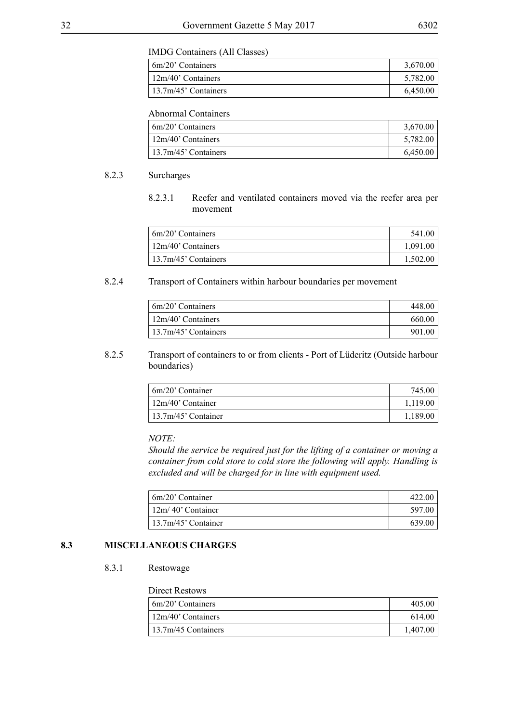#### IMDG Containers (All Classes)

| $\frac{6m}{20}$ Containers  | 3,670.00 |
|-----------------------------|----------|
| $\frac{12m}{40}$ Containers | 5,782.00 |
| $13.7m/45$ ' Containers     | 6,450.00 |

#### Abnormal Containers

| $6m/20$ ' Containers    | 3,670.00 |
|-------------------------|----------|
| $12m/40$ ' Containers   | 5,782.00 |
| $13.7m/45$ ' Containers | 6,450.00 |

#### 8.2.3 Surcharges

8.2.3.1 Reefer and ventilated containers moved via the reefer area per movement

| $\frac{1}{20}$ Containers   | 541.00   |
|-----------------------------|----------|
| $\frac{12m}{40}$ Containers | 1,091.00 |
| $13.7m/45$ ' Containers     | 1,502.00 |

#### 8.2.4 Transport of Containers within harbour boundaries per movement

| $6m/20$ ' Containers        | 448.00 |
|-----------------------------|--------|
| $\frac{12m}{40}$ Containers | 660.00 |
| $13.7m/45$ ' Containers     | 901.00 |

8.2.5 Transport of containers to or from clients - Port of Lüderitz (Outside harbour boundaries)

| $6m/20$ ' Container        | 745.00   |
|----------------------------|----------|
| $\frac{12m}{40}$ Container | 1,119.00 |
| $13.7m/45$ ' Container     | 1,189.00 |

#### *NOTE:*

*Should the service be required just for the lifting of a container or moving a container from cold store to cold store the following will apply. Handling is excluded and will be charged for in line with equipment used.*

| 6m/20' Container           | 422.00 |
|----------------------------|--------|
| $\frac{12m}{40}$ Container | 597.00 |
| $13.7m/45$ ' Container     | 639.00 |

#### **8.3 MISCELLANEOUS CHARGES**

#### 8.3.1 Restowage

#### Direct Restows

| 6m/20' Containers           | 405.00   |
|-----------------------------|----------|
| $\frac{12m}{40}$ Containers | 614.00   |
| 13.7m/45 Containers         | 1.407.00 |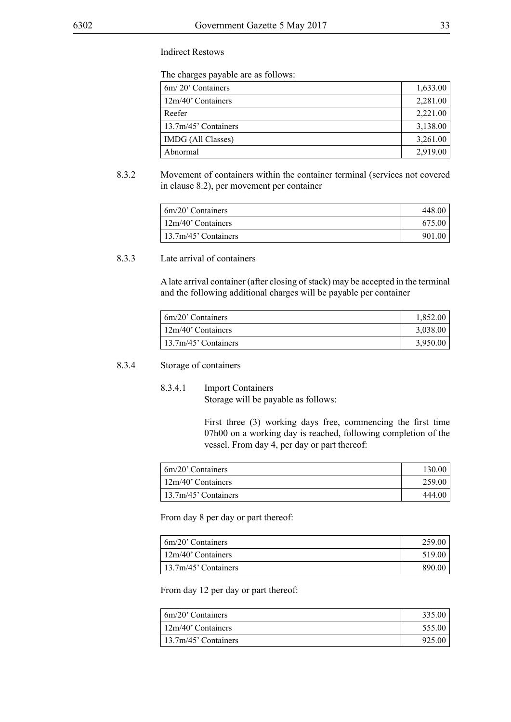#### Indirect Restows

The charges payable are as follows:

| 6m/20' Containers    | 1,633.00 |
|----------------------|----------|
| 12m/40' Containers   | 2,281.00 |
| Reefer               | 2,221.00 |
| 13.7m/45' Containers | 3,138.00 |
| IMDG (All Classes)   | 3,261.00 |
| Abnormal             | 2,919.00 |

8.3.2 Movement of containers within the container terminal (services not covered in clause 8.2), per movement per container

| 6m/20' Containers           | 448.00 |
|-----------------------------|--------|
| $\frac{12m}{40}$ Containers | 675.00 |
| $13.7m/45$ ' Containers     | 901.00 |

## 8.3.3 Late arrival of containers

A late arrival container (after closing of stack) may be accepted in the terminal and the following additional charges will be payable per container

| 6m/20' Containers    | 1,852.00 |
|----------------------|----------|
| 12m/40' Containers   | 3,038.00 |
| 13.7m/45' Containers | 3,950.00 |

#### 8.3.4 Storage of containers

8.3.4.1 Import Containers Storage will be payable as follows:

> First three (3) working days free, commencing the first time 07h00 on a working day is reached, following completion of the vessel. From day 4, per day or part thereof:

| $\frac{1}{20}$ Containers   | 130.00 |
|-----------------------------|--------|
| $\frac{12m}{40}$ Containers | 259.00 |
| $13.7m/45$ ' Containers     | 444.00 |

From day 8 per day or part thereof:

| 6m/20' Containers    | 259.00 |
|----------------------|--------|
| 12m/40' Containers   | 519.00 |
| 13.7m/45' Containers | 890.00 |

From day 12 per day or part thereof:

| $6m/20$ ' Containers    | 335.00 |
|-------------------------|--------|
| $12m/40$ ' Containers   | 555.00 |
| $13.7m/45$ ' Containers | 925.00 |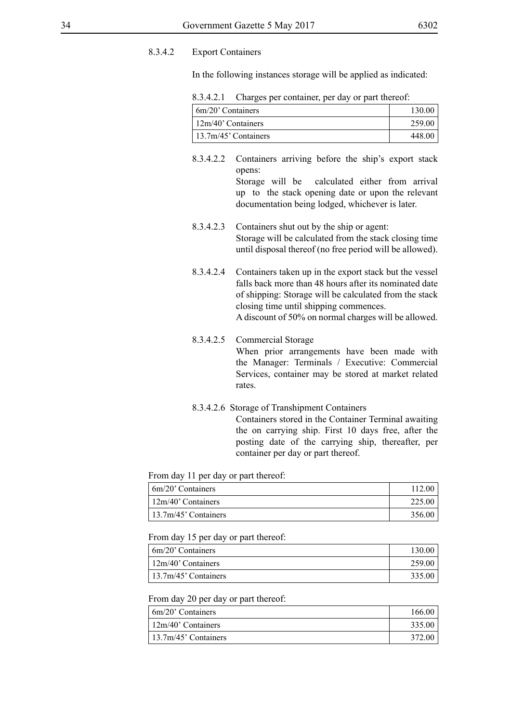#### 8.3.4.2 Export Containers

In the following instances storage will be applied as indicated:

8.3.4.2.1 Charges per container, per day or part thereof:

| 6m/20' Containers     | 130.00 |
|-----------------------|--------|
| $12m/40$ ' Containers | 259.00 |
| 13.7m/45' Containers  | 448.00 |

- 8.3.4.2.2 Containers arriving before the ship's export stack opens: Storage will be calculated either from arrival up to the stack opening date or upon the relevant documentation being lodged, whichever is later.
- 8.3.4.2.3 Containers shut out by the ship or agent: Storage will be calculated from the stack closing time until disposal thereof (no free period will be allowed).
- 8.3.4.2.4 Containers taken up in the export stack but the vessel falls back more than 48 hours after its nominated date of shipping: Storage will be calculated from the stack closing time until shipping commences. A discount of 50% on normal charges will be allowed.
- 8.3.4.2.5 Commercial Storage When prior arrangements have been made with the Manager: Terminals / Executive: Commercial Services, container may be stored at market related rates.
- 8.3.4.2.6 Storage of Transhipment Containers Containers stored in the Container Terminal awaiting the on carrying ship. First 10 days free, after the posting date of the carrying ship, thereafter, per container per day or part thereof.

From day 11 per day or part thereof:

| $6m/20$ ' Containers        | 112.00 |
|-----------------------------|--------|
| $\frac{12m}{40}$ Containers | 225.00 |
| $13.7m/45$ ' Containers     | 356.00 |

From day 15 per day or part thereof:

| 6m/20' Containers    | 130.00 |
|----------------------|--------|
| 12m/40' Containers   | 259.00 |
| 13.7m/45' Containers | 335.00 |

From day 20 per day or part thereof:

| $6m/20$ Containers    | 166.00 |
|-----------------------|--------|
| $12m/40$ ' Containers | 335.00 |
| 13.7m/45' Containers  | 372.00 |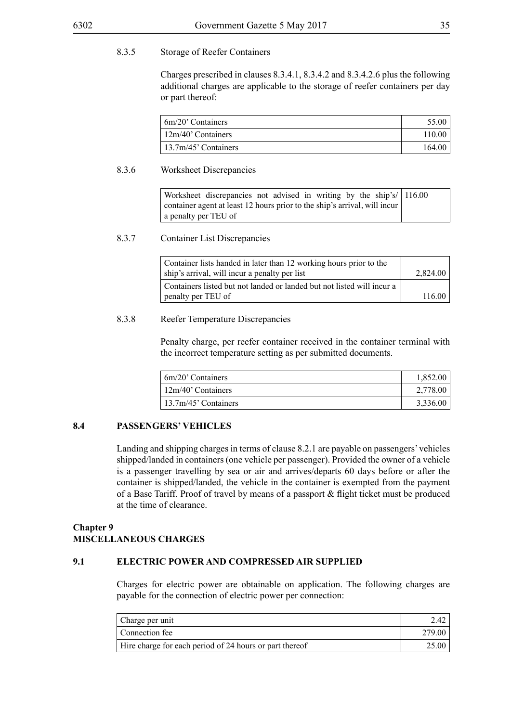#### 8.3.5 Storage of Reefer Containers

Charges prescribed in clauses 8.3.4.1, 8.3.4.2 and 8.3.4.2.6 plus the following additional charges are applicable to the storage of reefer containers per day or part thereof:

| $\frac{1}{20}$ Containers   | 55.00  |
|-----------------------------|--------|
| $\frac{12m}{40}$ Containers | 110.00 |
| $13.7m/45$ ' Containers     | 164.00 |

#### 8.3.6 Worksheet Discrepancies

Worksheet discrepancies not advised in writing by the ship's/ container agent at least 12 hours prior to the ship's arrival, will incur a penalty per TEU of 116.00

#### 8.3.7 Container List Discrepancies

| Container lists handed in later than 12 working hours prior to the<br>ship's arrival, will incur a penalty per list | 2,824.00 |
|---------------------------------------------------------------------------------------------------------------------|----------|
| Containers listed but not landed or landed but not listed will incur a                                              |          |
| penalty per TEU of                                                                                                  | 116.00   |

#### 8.3.8 Reefer Temperature Discrepancies

Penalty charge, per reefer container received in the container terminal with the incorrect temperature setting as per submitted documents.

| 6m/20' Containers    | 1.852.00 |
|----------------------|----------|
| 12m/40' Containers   | 2,778.00 |
| 13.7m/45' Containers | 3,336.00 |

#### **8.4 PASSENGERS' VEHICLES**

Landing and shipping charges in terms of clause 8.2.1 are payable on passengers' vehicles shipped/landed in containers (one vehicle per passenger). Provided the owner of a vehicle is a passenger travelling by sea or air and arrives/departs 60 days before or after the container is shipped/landed, the vehicle in the container is exempted from the payment of a Base Tariff. Proof of travel by means of a passport & flight ticket must be produced at the time of clearance.

# **Chapter 9 MISCELLANEOUS CHARGES**

#### **9.1 ELECTRIC POWER AND COMPRESSED AIR SUPPLIED**

Charges for electric power are obtainable on application. The following charges are payable for the connection of electric power per connection:

| Charge per unit                                         | 2.42   |
|---------------------------------------------------------|--------|
| Connection fee                                          | 279.00 |
| Hire charge for each period of 24 hours or part thereof | 25.00  |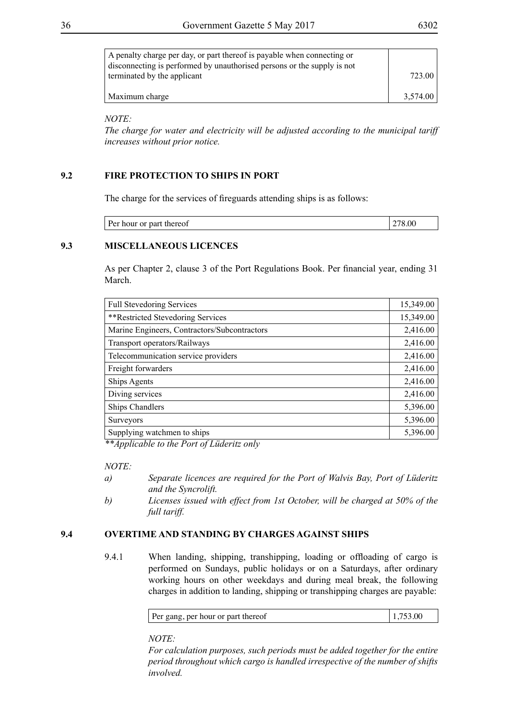| A penalty charge per day, or part thereof is payable when connecting or<br>disconnecting is performed by unauthorised persons or the supply is not |          |
|----------------------------------------------------------------------------------------------------------------------------------------------------|----------|
| terminated by the applicant                                                                                                                        | 723.00   |
| Maximum charge                                                                                                                                     | 3.574.00 |

*NOTE:*

*The charge for water and electricity will be adjusted according to the municipal tariff increases without prior notice.*

# **9.2 FIRE PROTECTION TO SHIPS IN PORT**

The charge for the services of fireguards attending ships is as follows:

| ັ<br>. .<br>$ -$<br>-------<br> |  |  |
|---------------------------------|--|--|
|---------------------------------|--|--|

#### **9.3 MISCELLANEOUS LICENCES**

As per Chapter 2, clause 3 of the Port Regulations Book. Per financial year, ending 31 March.

| <b>Full Stevedoring Services</b>             | 15,349.00 |
|----------------------------------------------|-----------|
| **Restricted Stevedoring Services            | 15,349.00 |
| Marine Engineers, Contractors/Subcontractors | 2,416.00  |
| Transport operators/Railways                 | 2,416.00  |
| Telecommunication service providers          | 2,416.00  |
| Freight forwarders                           | 2,416.00  |
| <b>Ships Agents</b>                          | 2,416.00  |
| Diving services                              | 2,416.00  |
| Ships Chandlers                              | 5,396.00  |
| <b>Surveyors</b>                             | 5,396.00  |
| Supplying watchmen to ships                  | 5,396.00  |

*\*\*Applicable to the Port of Lüderitz only*

#### *NOTE:*

- *a) Separate licences are required for the Port of Walvis Bay, Port of Lüderitz and the Syncrolift.*
- *b) Licenses issued with effect from 1st October, will be charged at 50% of the full tariff.*

# **9.4 OVERTIME AND STANDING BY CHARGES AGAINST SHIPS**

9.4.1 When landing, shipping, transhipping, loading or offloading of cargo is performed on Sundays, public holidays or on a Saturdays, after ordinary working hours on other weekdays and during meal break, the following charges in addition to landing, shipping or transhipping charges are payable:

| Per gang, per hour or part thereof | 1,753.00 |
|------------------------------------|----------|
|------------------------------------|----------|

*NOTE:*

*For calculation purposes, such periods must be added together for the entire period throughout which cargo is handled irrespective of the number of shifts involved.*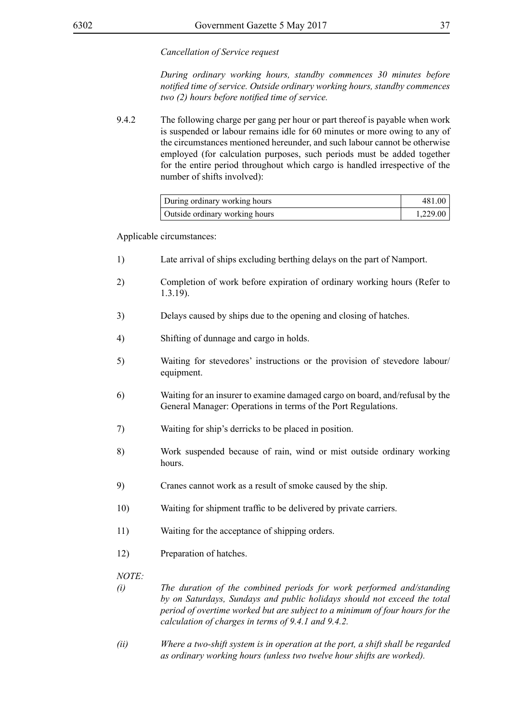#### *Cancellation of Service request*

*During ordinary working hours, standby commences 30 minutes before notified time of service. Outside ordinary working hours, standby commences two (2) hours before notified time of service.*

9.4.2 The following charge per gang per hour or part thereof is payable when work is suspended or labour remains idle for 60 minutes or more owing to any of the circumstances mentioned hereunder, and such labour cannot be otherwise employed (for calculation purposes, such periods must be added together for the entire period throughout which cargo is handled irrespective of the number of shifts involved):

| During ordinary working hours  | 481.00   |
|--------------------------------|----------|
| Outside ordinary working hours | 1,229.00 |

Applicable circumstances:

- 1) Late arrival of ships excluding berthing delays on the part of Namport.
- 2) Completion of work before expiration of ordinary working hours (Refer to 1.3.19).
- 3) Delays caused by ships due to the opening and closing of hatches.
- 4) Shifting of dunnage and cargo in holds.
- 5) Waiting for stevedores' instructions or the provision of stevedore labour/ equipment.
- 6) Waiting for an insurer to examine damaged cargo on board, and/refusal by the General Manager: Operations in terms of the Port Regulations.
- 7) Waiting for ship's derricks to be placed in position.
- 8) Work suspended because of rain, wind or mist outside ordinary working hours.
- 9) Cranes cannot work as a result of smoke caused by the ship.
- 10) Waiting for shipment traffic to be delivered by private carriers.
- 11) Waiting for the acceptance of shipping orders.
- 12) Preparation of hatches.

- *(i) The duration of the combined periods for work performed and/standing by on Saturdays, Sundays and public holidays should not exceed the total period of overtime worked but are subject to a minimum of four hours for the calculation of charges in terms of 9.4.1 and 9.4.2.*
- *(ii) Where a two-shift system is in operation at the port, a shift shall be regarded as ordinary working hours (unless two twelve hour shifts are worked).*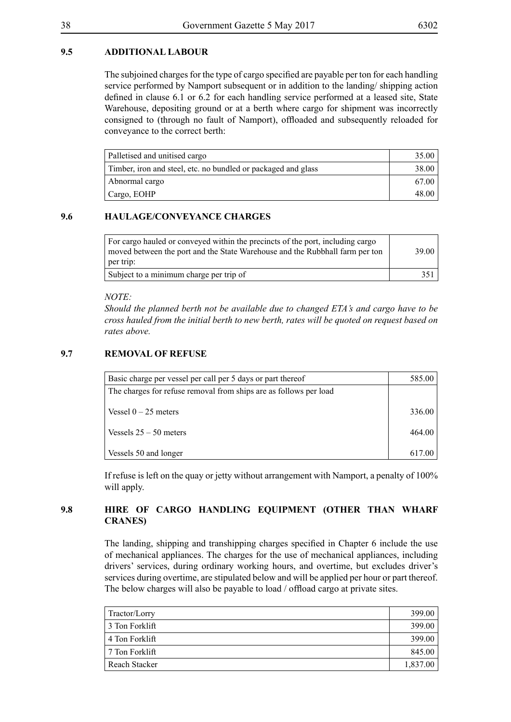# **9.5 ADDITIONAL LABOUR**

The subjoined charges for the type of cargo specified are payable per ton for each handling service performed by Namport subsequent or in addition to the landing/ shipping action defined in clause 6.1 or 6.2 for each handling service performed at a leased site, State Warehouse, depositing ground or at a berth where cargo for shipment was incorrectly consigned to (through no fault of Namport), offloaded and subsequently reloaded for conveyance to the correct berth:

| Palletised and unitised cargo                                 | 35.00 |
|---------------------------------------------------------------|-------|
| Timber, iron and steel, etc. no bundled or packaged and glass | 38.00 |
| Abnormal cargo                                                | 67.00 |
| Cargo, EOHP                                                   | 48.00 |

# **9.6 HAULAGE/CONVEYANCE CHARGES**

| For cargo hauled or conveyed within the precincts of the port, including cargo<br>moved between the port and the State Warehouse and the Rubbhall farm per ton<br>per trip: | 39.00 |
|-----------------------------------------------------------------------------------------------------------------------------------------------------------------------------|-------|
| Subject to a minimum charge per trip of                                                                                                                                     | 351   |

#### *NOTE:*

*Should the planned berth not be available due to changed ETA's and cargo have to be cross hauled from the initial berth to new berth, rates will be quoted on request based on rates above.*

#### **9.7 REMOVAL OF REFUSE**

| Basic charge per vessel per call per 5 days or part thereof       | 585.00 |
|-------------------------------------------------------------------|--------|
| The charges for refuse removal from ships are as follows per load |        |
|                                                                   |        |
| Vessel $0 - 25$ meters                                            | 336.00 |
|                                                                   |        |
|                                                                   |        |
|                                                                   | 617.00 |
| Vessels $25 - 50$ meters<br>Vessels 50 and longer                 | 464.00 |

If refuse is left on the quay or jetty without arrangement with Namport, a penalty of 100% will apply.

# **9.8 HIRE OF CARGO HANDLING EQUIPMENT (OTHER THAN WHARF CRANES)**

The landing, shipping and transhipping charges specified in Chapter 6 include the use of mechanical appliances. The charges for the use of mechanical appliances, including drivers' services, during ordinary working hours, and overtime, but excludes driver's services during overtime, are stipulated below and will be applied per hour or part thereof. The below charges will also be payable to load / offload cargo at private sites.

| Tractor/Lorry  | 399.00   |
|----------------|----------|
| 3 Ton Forklift | 399.00   |
| 4 Ton Forklift | 399.00   |
| 7 Ton Forklift | 845.00   |
| Reach Stacker  | 1,837.00 |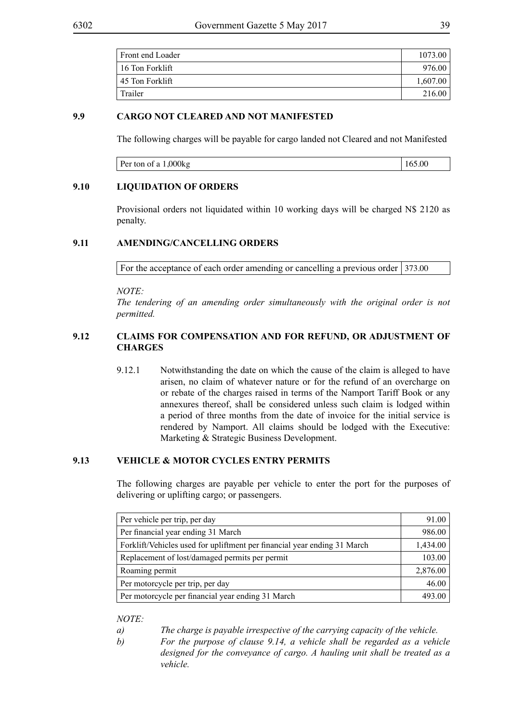| Front end Loader | 1073.00  |
|------------------|----------|
| 16 Ton Forklift  | 976.00   |
| 45 Ton Forklift  | 1,607.00 |
| Trailer          | 216.00   |

# **9.9 CARGO NOT CLEARED AND NOT MANIFESTED**

The following charges will be payable for cargo landed not Cleared and not Manifested

| Per ton of a T<br>,JUUNY |  |
|--------------------------|--|
|                          |  |

#### **9.10 LIQUIDATION OF ORDERS**

Provisional orders not liquidated within 10 working days will be charged N\$ 2120 as penalty.

#### **9.11 AMENDING/CANCELLING ORDERS**

For the acceptance of each order amending or cancelling a previous order  $\vert$  373.00

*NOTE:*

*The tendering of an amending order simultaneously with the original order is not permitted.*

# **9.12 CLAIMS FOR COMPENSATION AND FOR REFUND, OR ADJUSTMENT OF CHARGES**

9.12.1 Notwithstanding the date on which the cause of the claim is alleged to have arisen, no claim of whatever nature or for the refund of an overcharge on or rebate of the charges raised in terms of the Namport Tariff Book or any annexures thereof, shall be considered unless such claim is lodged within a period of three months from the date of invoice for the initial service is rendered by Namport. All claims should be lodged with the Executive: Marketing & Strategic Business Development.

# **9.13 VEHICLE & MOTOR CYCLES ENTRY PERMITS**

The following charges are payable per vehicle to enter the port for the purposes of delivering or uplifting cargo; or passengers.

| Per vehicle per trip, per day                                            | 91.00    |
|--------------------------------------------------------------------------|----------|
| Per financial year ending 31 March                                       | 986.00   |
| Forklift/Vehicles used for upliftment per financial year ending 31 March | 1,434.00 |
| Replacement of lost/damaged permits per permit                           | 103.00   |
| Roaming permit                                                           | 2,876.00 |
| Per motorcycle per trip, per day                                         | 46.00    |
| Per motorcycle per financial year ending 31 March                        | 493.00   |

- *a) The charge is payable irrespective of the carrying capacity of the vehicle.*
- *b) For the purpose of clause 9.14, a vehicle shall be regarded as a vehicle designed for the conveyance of cargo. A hauling unit shall be treated as a vehicle.*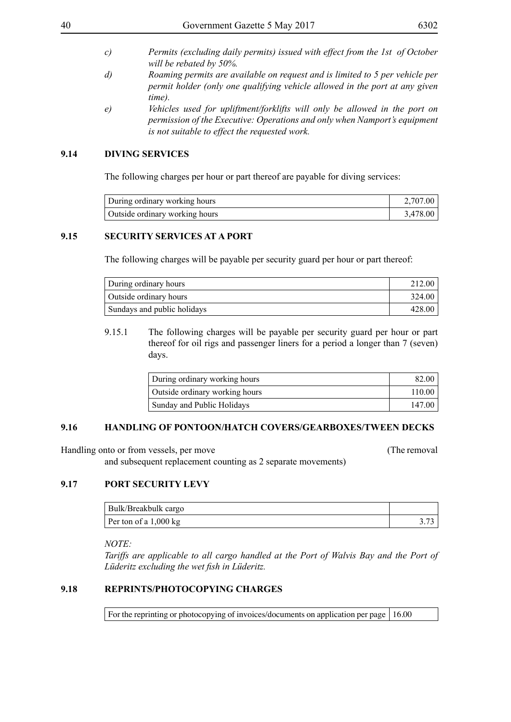- 
- *c) Permits (excluding daily permits) issued with effect from the 1st of October will be rebated by 50%.*
- *d) Roaming permits are available on request and is limited to 5 per vehicle per permit holder (only one qualifying vehicle allowed in the port at any given time).*
- *e) Vehicles used for upliftment/forklifts will only be allowed in the port on permission of the Executive: Operations and only when Namport's equipment is not suitable to effect the requested work.*

#### **9.14 DIVING SERVICES**

The following charges per hour or part thereof are payable for diving services:

| During ordinary working hours  | 2.707.00 |
|--------------------------------|----------|
| Outside ordinary working hours | 3.478.00 |

# **9.15 SECURITY SERVICES AT A PORT**

The following charges will be payable per security guard per hour or part thereof:

| During ordinary hours       | 212.00 |
|-----------------------------|--------|
| Outside ordinary hours      | 324.00 |
| Sundays and public holidays | 428.00 |

9.15.1 The following charges will be payable per security guard per hour or part thereof for oil rigs and passenger liners for a period a longer than 7 (seven) days.

| During ordinary working hours  | 82.00  |
|--------------------------------|--------|
| Outside ordinary working hours | 110.00 |
| Sunday and Public Holidays     | 147.00 |

#### **9.16 HANDLING OF PONTOON/HATCH COVERS/GEARBOXES/TWEEN DECKS**

Handling onto or from vessels, per move (The removal and subsequent replacement counting as 2 separate movements)

# **9.17 PORT SECURITY LEVY**

| Bulk/Breakbulk cargo            |  |
|---------------------------------|--|
| Per ton of a $1,000 \text{ kg}$ |  |

*NOTE:*

*Tariffs are applicable to all cargo handled at the Port of Walvis Bay and the Port of Lüderitz excluding the wet fish in Lüderitz.*

# **9.18 REPRINTS/PHOTOCOPYING CHARGES**

For the reprinting or photocopying of invoices/documents on application per page  $\vert$  16.00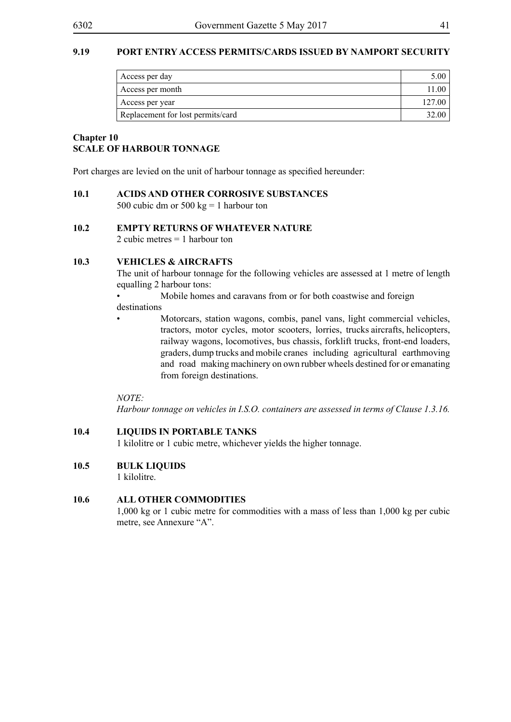## **9.19 PORT ENTRY ACCESS PERMITS/CARDS ISSUED BY NAMPORT SECURITY**

| Access per day                    |        |
|-----------------------------------|--------|
| Access per month                  |        |
| Access per year                   | 127.00 |
| Replacement for lost permits/card |        |

#### **Chapter 10 SCALE OF HARBOUR TONNAGE**

Port charges are levied on the unit of harbour tonnage as specified hereunder:

#### **10.1 ACIDS AND OTHER CORROSIVE SUBSTANCES**

500 cubic dm or 500 kg = 1 harbour ton

# **10.2 EMPTY RETURNS OF WHATEVER NATURE**

2 cubic metres = 1 harbour ton

#### **10.3 VEHICLES & AIRCRAFTS**

The unit of harbour tonnage for the following vehicles are assessed at 1 metre of length equalling 2 harbour tons:

• Mobile homes and caravans from or for both coastwise and foreign

destinations

• Motorcars, station wagons, combis, panel vans, light commercial vehicles, tractors, motor cycles, motor scooters, lorries, trucks aircrafts, helicopters, railway wagons, locomotives, bus chassis, forklift trucks, front-end loaders, graders, dump trucks and mobile cranes including agricultural earthmoving and road making machinery on own rubber wheels destined for or emanating from foreign destinations.

*NOTE:*

*Harbour tonnage on vehicles in I.S.O. containers are assessed in terms of Clause 1.3.16.*

#### **10.4 LIQUIDS IN PORTABLE TANKS**

1 kilolitre or 1 cubic metre, whichever yields the higher tonnage.

#### **10.5 BULK LIQUIDS**

1 kilolitre.

#### **10.6 ALL OTHER COMMODITIES**

1,000 kg or 1 cubic metre for commodities with a mass of less than 1,000 kg per cubic metre, see Annexure "A".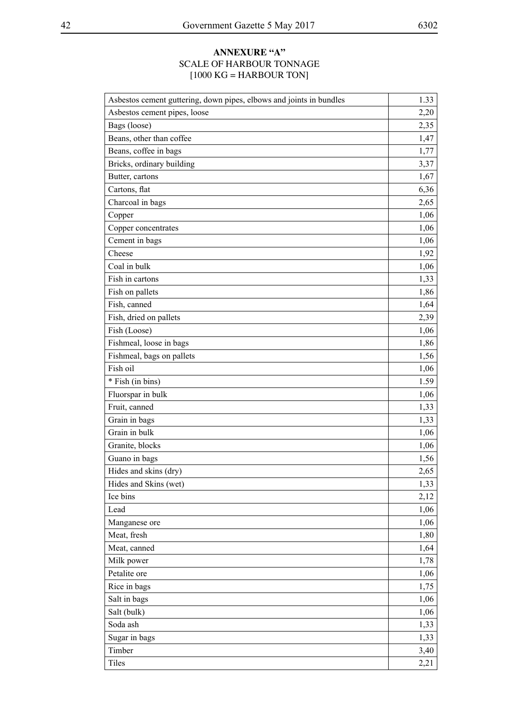# **ANNEXURE "A"** SCALE OF HARBOUR TONNAGE  $[1000 \text{ KG} = \text{HARBOUR} \text{ TON}]$

| Asbestos cement guttering, down pipes, elbows and joints in bundles | 1.33 |
|---------------------------------------------------------------------|------|
| Asbestos cement pipes, loose                                        | 2,20 |
| Bags (loose)                                                        | 2,35 |
| Beans, other than coffee                                            | 1,47 |
| Beans, coffee in bags                                               | 1,77 |
| Bricks, ordinary building                                           | 3,37 |
| Butter, cartons                                                     | 1,67 |
| Cartons, flat                                                       | 6,36 |
| Charcoal in bags                                                    | 2,65 |
| Copper                                                              | 1,06 |
| Copper concentrates                                                 | 1,06 |
| Cement in bags                                                      | 1,06 |
| Cheese                                                              | 1,92 |
| Coal in bulk                                                        | 1,06 |
| Fish in cartons                                                     | 1,33 |
| Fish on pallets                                                     | 1,86 |
| Fish, canned                                                        | 1,64 |
| Fish, dried on pallets                                              | 2,39 |
| Fish (Loose)                                                        | 1,06 |
| Fishmeal, loose in bags                                             | 1,86 |
| Fishmeal, bags on pallets                                           | 1,56 |
| Fish oil                                                            | 1,06 |
| * Fish (in bins)                                                    | 1.59 |
| Fluorspar in bulk                                                   | 1,06 |
| Fruit, canned                                                       | 1,33 |
| Grain in bags                                                       | 1,33 |
| Grain in bulk                                                       | 1,06 |
| Granite, blocks                                                     | 1,06 |
| Guano in bags                                                       | 1,56 |
| Hides and skins (dry)                                               | 2,65 |
| Hides and Skins (wet)                                               | 1,33 |
| Ice bins                                                            | 2,12 |
| Lead                                                                | 1,06 |
| Manganese ore                                                       | 1,06 |
| Meat, fresh                                                         | 1,80 |
| Meat, canned                                                        | 1,64 |
| Milk power                                                          | 1,78 |
| Petalite ore                                                        | 1,06 |
| Rice in bags                                                        | 1,75 |
| Salt in bags                                                        | 1,06 |
| Salt (bulk)                                                         | 1,06 |
| Soda ash                                                            | 1,33 |
| Sugar in bags                                                       | 1,33 |
| Timber                                                              | 3,40 |
| Tiles                                                               | 2,21 |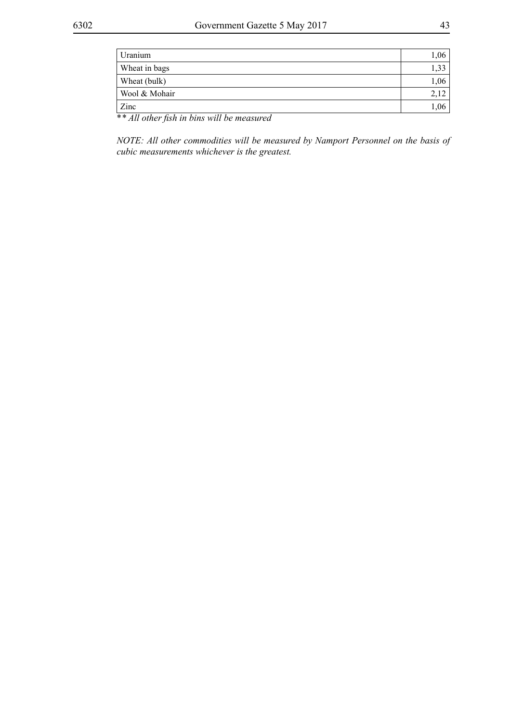| ,33                              |
|----------------------------------|
|                                  |
| 1,06                             |
|                                  |
| $1,06$ <sup><math>+</math></sup> |
|                                  |

\**\* All other fish in bins will be measured*

*NOTE: All other commodities will be measured by Namport Personnel on the basis of cubic measurements whichever is the greatest.*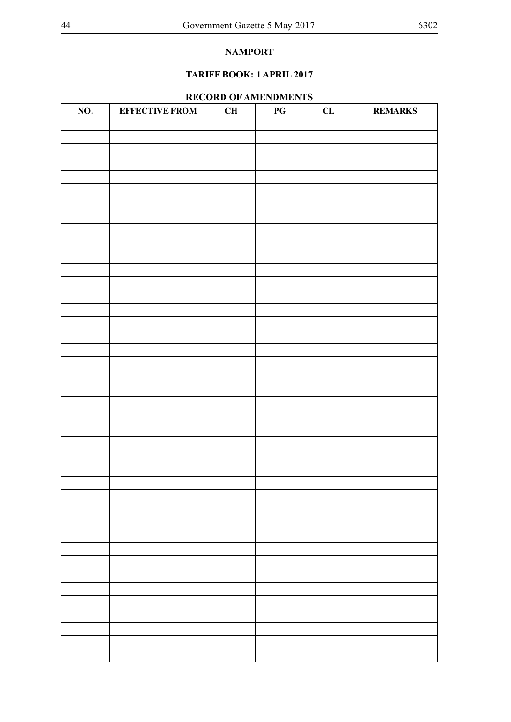# **NAMPORT**

# **TARIFF BOOK: 1 APRIL 2017**

#### **RECORD OF AMENDMENTS**

| NO. | <b>EFFECTIVE FROM</b> | CH | $\mathbf{P}\mathbf{G}$ | CL | <b>REMARKS</b> |
|-----|-----------------------|----|------------------------|----|----------------|
|     |                       |    |                        |    |                |
|     |                       |    |                        |    |                |
|     |                       |    |                        |    |                |
|     |                       |    |                        |    |                |
|     |                       |    |                        |    |                |
|     |                       |    |                        |    |                |
|     |                       |    |                        |    |                |
|     |                       |    |                        |    |                |
|     |                       |    |                        |    |                |
|     |                       |    |                        |    |                |
|     |                       |    |                        |    |                |
|     |                       |    |                        |    |                |
|     |                       |    |                        |    |                |
|     |                       |    |                        |    |                |
|     |                       |    |                        |    |                |
|     |                       |    |                        |    |                |
|     |                       |    |                        |    |                |
|     |                       |    |                        |    |                |
|     |                       |    |                        |    |                |
|     |                       |    |                        |    |                |
|     |                       |    |                        |    |                |
|     |                       |    |                        |    |                |
|     |                       |    |                        |    |                |
|     |                       |    |                        |    |                |
|     |                       |    |                        |    |                |
|     |                       |    |                        |    |                |
|     |                       |    |                        |    |                |
|     |                       |    |                        |    |                |
|     |                       |    |                        |    |                |
|     |                       |    |                        |    |                |
|     |                       |    |                        |    |                |
|     |                       |    |                        |    |                |
|     |                       |    |                        |    |                |
|     |                       |    |                        |    |                |
|     |                       |    |                        |    |                |
|     |                       |    |                        |    |                |
|     |                       |    |                        |    |                |
|     |                       |    |                        |    |                |
|     |                       |    |                        |    |                |
|     |                       |    |                        |    |                |
|     |                       |    |                        |    |                |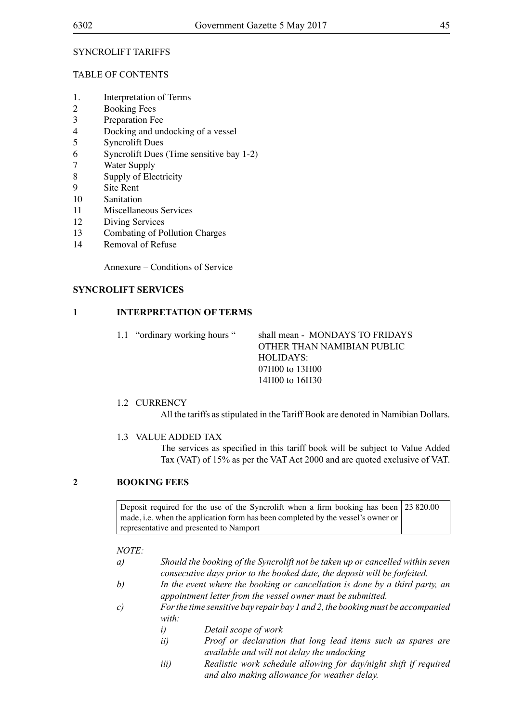#### SYNCROLIFT TARIFFS

#### Table of Contents

- 1. Interpretation of Terms
- 2 Booking Fees<br>3 Preparation Fe
- Preparation Fee
- 4 Docking and undocking of a vessel
- 5 Syncrolift Dues
- 6 Syncrolift Dues (Time sensitive bay 1-2)
- 7 Water Supply
- 8 Supply of Electricity
- 9 Site Rent
- 10 Sanitation
- 11 Miscellaneous Services
- 12 Diving Services
- 13 Combating of Pollution Charges
- 14 Removal of Refuse

Annexure – Conditions of Service

#### **SYNCROLIFT SERVICES**

#### **1 INTERPRETATION OF TERMS**

- 1.1 "ordinary working hours " shall mean MONDAYS TO FRIDAYS OTHER THAN NAMIBIAN PUBLIC HOLIDAYS: 07H00 to 13H00 14H00 to 16H30
- 1.2 CURRENCY

All the tariffs as stipulated in the Tariff Book are denoted in Namibian Dollars.

# 1.3 VALUE ADDED TAX

The services as specified in this tariff book will be subject to Value Added Tax (VAT) of 15% as per the VAT Act 2000 and are quoted exclusive of VAT.

## **2 BOOKING FEES**

Deposit required for the use of the Syncrolift when a firm booking has been 23 820.00 made, i.e. when the application form has been completed by the vessel's owner or representative and presented to Namport

- *a) Should the booking of the Syncrolift not be taken up or cancelled within seven consecutive days prior to the booked date, the deposit will be forfeited.*
- *b) In the event where the booking or cancellation is done by a third party, an appointment letter from the vessel owner must be submitted.*
- *c) For the time sensitive bay repair bay 1 and 2, the booking must be accompanied with:*
	- *i) Detail scope of work*
	- *ii) Proof or declaration that long lead items such as spares are available and will not delay the undocking*
	- *iii) Realistic work schedule allowing for day/night shift if required and also making allowance for weather delay.*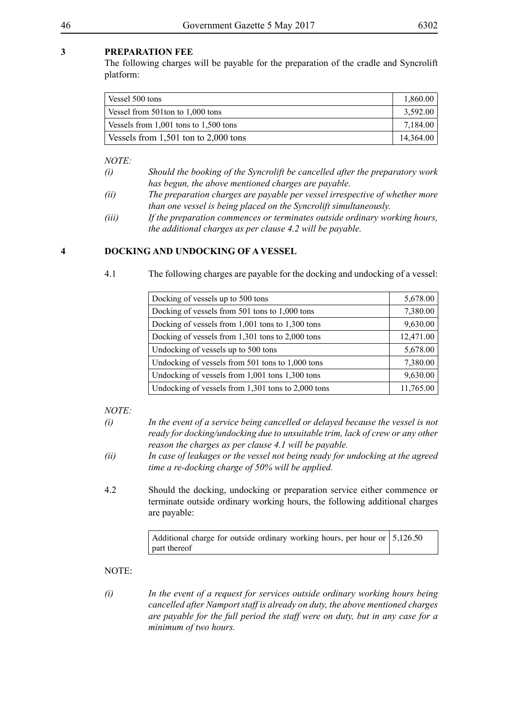The following charges will be payable for the preparation of the cradle and Syncrolift platform:

| Vessel 500 tons                           | 1.860.00  |
|-------------------------------------------|-----------|
| Vessel from 501ton to 1,000 tons          | 3,592.00  |
| Vessels from $1,001$ tons to $1,500$ tons | 7.184.00  |
| Vessels from $1,501$ ton to $2,000$ tons  | 14,364.00 |

*NOTE:*

- *(i) Should the booking of the Syncrolift be cancelled after the preparatory work has begun, the above mentioned charges are payable.*
- *(ii) The preparation charges are payable per vessel irrespective of whether more than one vessel is being placed on the Syncrolift simultaneously.*
- *(iii) If the preparation commences or terminates outside ordinary working hours, the additional charges as per clause 4.2 will be payable.*

# **4 DOCKING AND UNDOCKING OF A VESSEL**

4.1 The following charges are payable for the docking and undocking of a vessel:

| Docking of vessels up to 500 tons                  | 5,678.00  |
|----------------------------------------------------|-----------|
|                                                    |           |
| Docking of vessels from 501 tons to 1,000 tons     | 7,380.00  |
| Docking of vessels from 1,001 tons to 1,300 tons   | 9,630.00  |
| Docking of vessels from 1,301 tons to 2,000 tons   | 12,471.00 |
| Undocking of vessels up to 500 tons                | 5,678.00  |
| Undocking of vessels from 501 tons to 1,000 tons   | 7,380.00  |
| Undocking of vessels from 1,001 tons 1,300 tons    | 9,630.00  |
| Undocking of vessels from 1,301 tons to 2,000 tons | 11,765.00 |

*NOTE:*

| (i) | In the event of a service being cancelled or delayed because the vessel is not |
|-----|--------------------------------------------------------------------------------|
|     | ready for docking/undocking due to unsuitable trim, lack of crew or any other  |
|     | reason the charges as per clause 4.1 will be payable.                          |

- *(ii) In case of leakages or the vessel not being ready for undocking at the agreed time a re-docking charge of 50% will be applied.*
- 4.2 Should the docking, undocking or preparation service either commence or terminate outside ordinary working hours, the following additional charges are payable:

Additional charge for outside ordinary working hours, per hour or part thereof 5,126.50

*<sup>(</sup>i) In the event of a request for services outside ordinary working hours being cancelled after Namport staff is already on duty, the above mentioned charges are payable for the full period the staff were on duty, but in any case for a minimum of two hours.*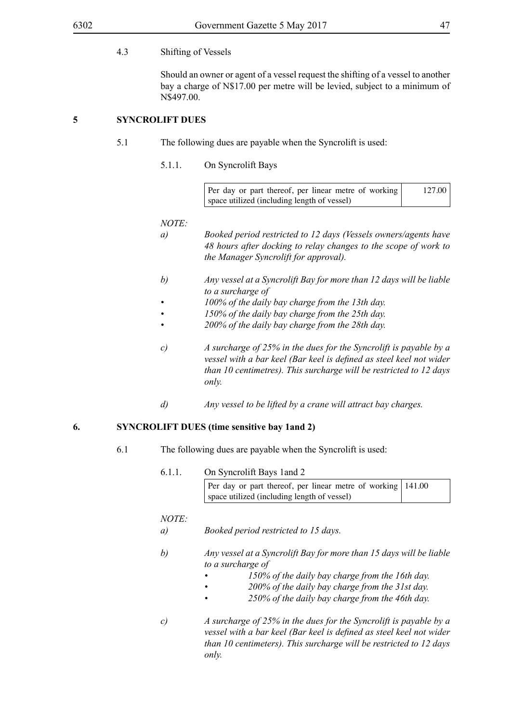#### 4.3 Shifting of Vessels

Should an owner or agent of a vessel request the shifting of a vessel to another bay a charge of N\$17.00 per metre will be levied, subject to a minimum of N\$497.00.

# **5 SYNCROLIFT DUES**

- 5.1 The following dues are payable when the Syncrolift is used:
	- 5.1.1. On Syncrolift Bays

| Per day or part thereof, per linear metre of working | 127.00 |
|------------------------------------------------------|--------|
| space utilized (including length of vessel)          |        |

#### *NOTE:*

- *a) Booked period restricted to 12 days (Vessels owners/agents have 48 hours after docking to relay changes to the scope of work to the Manager Syncrolift for approval).*
- *b) Any vessel at a Syncrolift Bay for more than 12 days will be liable to a surcharge of*
- *• 100% of the daily bay charge from the 13th day.*
- *• 150% of the daily bay charge from the 25th day.*
- *• 200% of the daily bay charge from the 28th day.*
- *c) A surcharge of 25% in the dues for the Syncrolift is payable by a vessel with a bar keel (Bar keel is defined as steel keel not wider than 10 centimetres). This surcharge will be restricted to 12 days only.*
- *d) Any vessel to be lifted by a crane will attract bay charges.*

# **6. SYNCROLIFT DUES (time sensitive bay 1and 2)**

- 6.1 The following dues are payable when the Syncrolift is used:
	- 6.1.1. On Syncrolift Bays 1and 2 Per day or part thereof, per linear metre of working space utilized (including length of vessel) 141.00

- *a) Booked period restricted to 15 days.*
- *b) Any vessel at a Syncrolift Bay for more than 15 days will be liable to a surcharge of*
	- *• 150% of the daily bay charge from the 16th day.*
		- *• 200% of the daily bay charge from the 31st day.*
	- *• 250% of the daily bay charge from the 46th day.*
- *c) A surcharge of 25% in the dues for the Syncrolift is payable by a vessel with a bar keel (Bar keel is defined as steel keel not wider than 10 centimeters). This surcharge will be restricted to 12 days only.*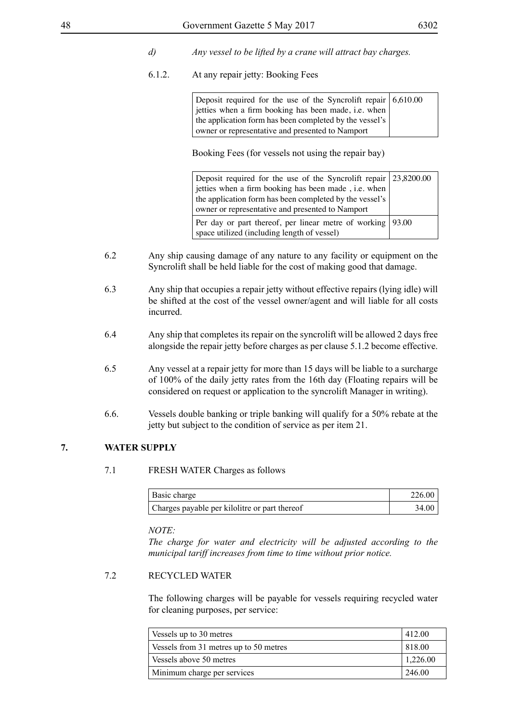- *d) Any vessel to be lifted by a crane will attract bay charges.*
- 6.1.2. At any repair jetty: Booking Fees

| Deposit required for the use of the Syncrolift repair 6,610.00 |  |
|----------------------------------------------------------------|--|
| jetties when a firm booking has been made, i.e. when           |  |
| the application form has been completed by the vessel's        |  |
| owner or representative and presented to Namport               |  |

Booking Fees (for vessels not using the repair bay)

| Deposit required for the use of the Syncrolift repair $\vert 23,8200.00 \vert$ |  |
|--------------------------------------------------------------------------------|--|
| jetties when a firm booking has been made, <i>i.e.</i> when                    |  |
| the application form has been completed by the vessel's                        |  |
| owner or representative and presented to Namport                               |  |
| Per day or part thereof, per linear metre of working   93.00                   |  |
| space utilized (including length of vessel)                                    |  |

- 6.2 Any ship causing damage of any nature to any facility or equipment on the Syncrolift shall be held liable for the cost of making good that damage.
- 6.3 Any ship that occupies a repair jetty without effective repairs (lying idle) will be shifted at the cost of the vessel owner/agent and will liable for all costs incurred.
- 6.4 Any ship that completes its repair on the syncrolift will be allowed 2 days free alongside the repair jetty before charges as per clause 5.1.2 become effective.
- 6.5 Any vessel at a repair jetty for more than 15 days will be liable to a surcharge of 100% of the daily jetty rates from the 16th day (Floating repairs will be considered on request or application to the syncrolift Manager in writing).
- 6.6. Vessels double banking or triple banking will qualify for a 50% rebate at the jetty but subject to the condition of service as per item 21.

# **7. WATER SUPPLY**

#### 7.1 FRESH WATER Charges as follows

| Basic charge                                  | 226.00 |
|-----------------------------------------------|--------|
| Charges payable per kilolitre or part thereof | 34.00  |

#### *NOTE:*

*The charge for water and electricity will be adjusted according to the municipal tariff increases from time to time without prior notice.*

#### 7.2 RECYCLED WATER

The following charges will be payable for vessels requiring recycled water for cleaning purposes, per service:

| Vessels up to 30 metres                | 412.00   |
|----------------------------------------|----------|
| Vessels from 31 metres up to 50 metres | 818.00   |
| Vessels above 50 metres                | 1,226.00 |
| Minimum charge per services            | 246.00   |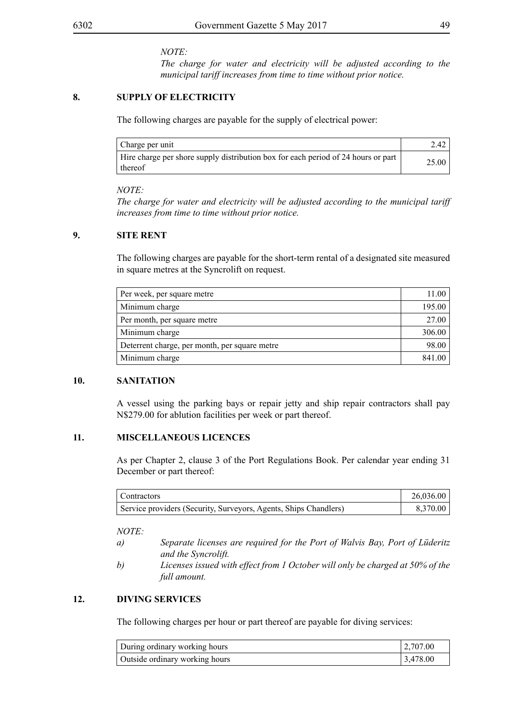#### *NOTE:*

*The charge for water and electricity will be adjusted according to the municipal tariff increases from time to time without prior notice.*

## **8. SUPPLY OF ELECTRICITY**

The following charges are payable for the supply of electrical power:

| Charge per unit                                                                              | 2.42  |
|----------------------------------------------------------------------------------------------|-------|
| Hire charge per shore supply distribution box for each period of 24 hours or part<br>thereof | 25.00 |

#### *NOTE:*

*The charge for water and electricity will be adjusted according to the municipal tariff increases from time to time without prior notice.*

## **9. SITE RENT**

The following charges are payable for the short-term rental of a designated site measured in square metres at the Syncrolift on request.

| Per week, per square metre                    | 11.00  |
|-----------------------------------------------|--------|
| Minimum charge                                | 195.00 |
| Per month, per square metre                   | 27.00  |
| Minimum charge                                | 306.00 |
| Deterrent charge, per month, per square metre | 98.00  |
| Minimum charge                                | 841.00 |

#### **10. SANITATION**

A vessel using the parking bays or repair jetty and ship repair contractors shall pay N\$279.00 for ablution facilities per week or part thereof.

# **11. MISCELLANEOUS LICENCES**

As per Chapter 2, clause 3 of the Port Regulations Book. Per calendar year ending 31 December or part thereof:

| Contractors                                                      | 26,036.00 |
|------------------------------------------------------------------|-----------|
| Service providers (Security, Surveyors, Agents, Ships Chandlers) | 8,370.00  |

*NOTE:*

- *a) Separate licenses are required for the Port of Walvis Bay, Port of Lüderitz and the Syncrolift.*
- *b) Licenses issued with effect from 1 October will only be charged at 50% of the full amount.*

# **12. DIVING SERVICES**

The following charges per hour or part thereof are payable for diving services:

| During ordinary working hours  | 2,707.00 |
|--------------------------------|----------|
| Outside ordinary working hours | 3,478,00 |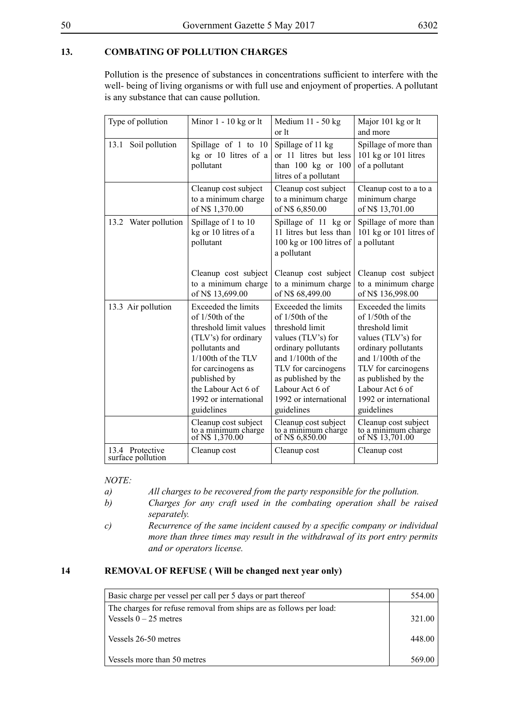# **13. COMBATING OF POLLUTION CHARGES**

Pollution is the presence of substances in concentrations sufficient to interfere with the well- being of living organisms or with full use and enjoyment of properties. A pollutant is any substance that can cause pollution.

| Type of pollution                    | Minor $1 - 10$ kg or lt                                                                                                                                                                                                               | Medium 11 - 50 kg<br>or lt                                                                                                                                                                                                            | Major 101 kg or lt<br>and more                                                                                                                                                                                                        |  |
|--------------------------------------|---------------------------------------------------------------------------------------------------------------------------------------------------------------------------------------------------------------------------------------|---------------------------------------------------------------------------------------------------------------------------------------------------------------------------------------------------------------------------------------|---------------------------------------------------------------------------------------------------------------------------------------------------------------------------------------------------------------------------------------|--|
| 13.1 Soil pollution                  | Spillage of 1 to 10<br>kg or 10 litres of a<br>pollutant                                                                                                                                                                              | Spillage of 11 kg<br>or 11 litres but less<br>than $100$ kg or $100$<br>litres of a pollutant                                                                                                                                         | Spillage of more than<br>101 kg or 101 litres<br>of a pollutant                                                                                                                                                                       |  |
|                                      | Cleanup cost subject<br>to a minimum charge<br>of N\$ 1,370.00                                                                                                                                                                        | Cleanup cost subject<br>to a minimum charge<br>of N\$ 6,850.00                                                                                                                                                                        | Cleanup cost to a to a<br>minimum charge<br>of N\$ 13,701.00                                                                                                                                                                          |  |
| 13.2 Water pollution                 | Spillage of 1 to 10<br>kg or 10 litres of a<br>pollutant                                                                                                                                                                              | Spillage of 11 kg or<br>11 litres but less than<br>100 kg or 100 litres of<br>a pollutant                                                                                                                                             | Spillage of more than<br>101 kg or 101 litres of<br>a pollutant                                                                                                                                                                       |  |
|                                      | Cleanup cost subject<br>to a minimum charge<br>of N\$ 13,699.00                                                                                                                                                                       | Cleanup cost subject<br>to a minimum charge<br>of N\$ 68,499.00                                                                                                                                                                       | Cleanup cost subject<br>to a minimum charge<br>of N\$ 136,998.00                                                                                                                                                                      |  |
| 13.3 Air pollution                   | Exceeded the limits<br>of 1/50th of the<br>threshold limit values<br>(TLV's) for ordinary<br>pollutants and<br>1/100th of the TLV<br>for carcinogens as<br>published by<br>the Labour Act 6 of<br>1992 or international<br>guidelines | Exceeded the limits<br>of 1/50th of the<br>threshold limit<br>values (TLV's) for<br>ordinary pollutants<br>and 1/100th of the<br>TLV for carcinogens<br>as published by the<br>Labour Act 6 of<br>1992 or international<br>guidelines | Exceeded the limits<br>of 1/50th of the<br>threshold limit<br>values (TLV's) for<br>ordinary pollutants<br>and 1/100th of the<br>TLV for carcinogens<br>as published by the<br>Labour Act 6 of<br>1992 or international<br>guidelines |  |
|                                      | Cleanup cost subject<br>to a minimum charge<br>of N\$ 1,370.00                                                                                                                                                                        | Cleanup cost subject<br>to a minimum charge<br>of N\$ 6,850.00                                                                                                                                                                        | Cleanup cost subject<br>to a minimum charge<br>of N\$ 13,701.00                                                                                                                                                                       |  |
| 13.4 Protective<br>surface pollution | Cleanup cost                                                                                                                                                                                                                          | Cleanup cost                                                                                                                                                                                                                          | Cleanup cost                                                                                                                                                                                                                          |  |

*NOTE:*

- *a) All charges to be recovered from the party responsible for the pollution.*
- *b) Charges for any craft used in the combating operation shall be raised separately.*
- *c) Recurrence of the same incident caused by a specific company or individual more than three times may result in the withdrawal of its port entry permits and or operators license.*

#### **14 REMOVAL OF REFUSE ( Will be changed next year only)**

| 554.00 |
|--------|
|        |
| 321.00 |
|        |
| 448.00 |
| 569.00 |
|        |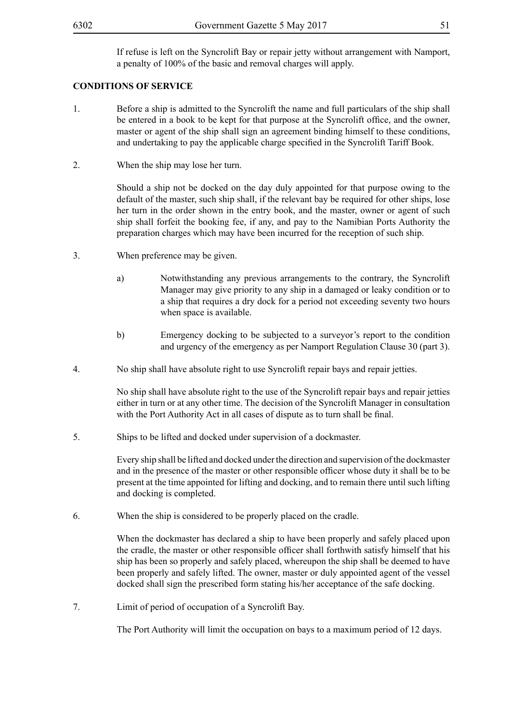If refuse is left on the Syncrolift Bay or repair jetty without arrangement with Namport, a penalty of 100% of the basic and removal charges will apply.

#### **CONDITIONS OF SERVICE**

- 1. Before a ship is admitted to the Syncrolift the name and full particulars of the ship shall be entered in a book to be kept for that purpose at the Syncrolift office, and the owner, master or agent of the ship shall sign an agreement binding himself to these conditions, and undertaking to pay the applicable charge specified in the Syncrolift Tariff Book.
- 2. When the ship may lose her turn.

Should a ship not be docked on the day duly appointed for that purpose owing to the default of the master, such ship shall, if the relevant bay be required for other ships, lose her turn in the order shown in the entry book, and the master, owner or agent of such ship shall forfeit the booking fee, if any, and pay to the Namibian Ports Authority the preparation charges which may have been incurred for the reception of such ship.

- 3. When preference may be given.
	- a) Notwithstanding any previous arrangements to the contrary, the Syncrolift Manager may give priority to any ship in a damaged or leaky condition or to a ship that requires a dry dock for a period not exceeding seventy two hours when space is available.
	- b) Emergency docking to be subjected to a surveyor's report to the condition and urgency of the emergency as per Namport Regulation Clause 30 (part 3).
- 4. No ship shall have absolute right to use Syncrolift repair bays and repair jetties.

No ship shall have absolute right to the use of the Syncrolift repair bays and repair jetties either in turn or at any other time. The decision of the Syncrolift Manager in consultation with the Port Authority Act in all cases of dispute as to turn shall be final.

5. Ships to be lifted and docked under supervision of a dockmaster.

Every ship shall be lifted and docked under the direction and supervision of the dockmaster and in the presence of the master or other responsible officer whose duty it shall be to be present at the time appointed for lifting and docking, and to remain there until such lifting and docking is completed.

6. When the ship is considered to be properly placed on the cradle.

When the dockmaster has declared a ship to have been properly and safely placed upon the cradle, the master or other responsible officer shall forthwith satisfy himself that his ship has been so properly and safely placed, whereupon the ship shall be deemed to have been properly and safely lifted. The owner, master or duly appointed agent of the vessel docked shall sign the prescribed form stating his/her acceptance of the safe docking.

7. Limit of period of occupation of a Syncrolift Bay.

The Port Authority will limit the occupation on bays to a maximum period of 12 days.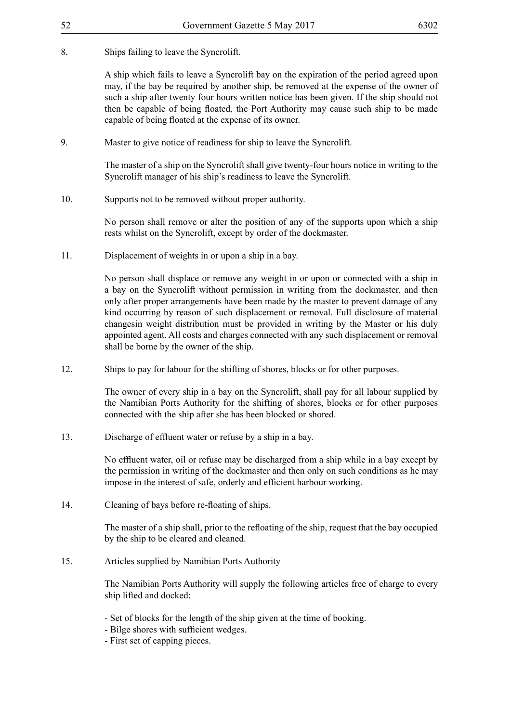## 8. Ships failing to leave the Syncrolift.

A ship which fails to leave a Syncrolift bay on the expiration of the period agreed upon may, if the bay be required by another ship, be removed at the expense of the owner of such a ship after twenty four hours written notice has been given. If the ship should not then be capable of being floated, the Port Authority may cause such ship to be made capable of being floated at the expense of its owner.

9. Master to give notice of readiness for ship to leave the Syncrolift.

The master of a ship on the Syncrolift shall give twenty-four hours notice in writing to the Syncrolift manager of his ship's readiness to leave the Syncrolift.

10. Supports not to be removed without proper authority.

No person shall remove or alter the position of any of the supports upon which a ship rests whilst on the Syncrolift, except by order of the dockmaster.

11. Displacement of weights in or upon a ship in a bay.

No person shall displace or remove any weight in or upon or connected with a ship in a bay on the Syncrolift without permission in writing from the dockmaster, and then only after proper arrangements have been made by the master to prevent damage of any kind occurring by reason of such displacement or removal. Full disclosure of material changesin weight distribution must be provided in writing by the Master or his duly appointed agent. All costs and charges connected with any such displacement or removal shall be borne by the owner of the ship.

12. Ships to pay for labour for the shifting of shores, blocks or for other purposes.

The owner of every ship in a bay on the Syncrolift, shall pay for all labour supplied by the Namibian Ports Authority for the shifting of shores, blocks or for other purposes connected with the ship after she has been blocked or shored.

13. Discharge of effluent water or refuse by a ship in a bay.

No effluent water, oil or refuse may be discharged from a ship while in a bay except by the permission in writing of the dockmaster and then only on such conditions as he may impose in the interest of safe, orderly and efficient harbour working.

14. Cleaning of bays before re-floating of ships.

The master of a ship shall, prior to the refloating of the ship, request that the bay occupied by the ship to be cleared and cleaned.

15. Articles supplied by Namibian Ports Authority

The Namibian Ports Authority will supply the following articles free of charge to every ship lifted and docked:

- Set of blocks for the length of the ship given at the time of booking.
- Bilge shores with sufficient wedges.
- First set of capping pieces.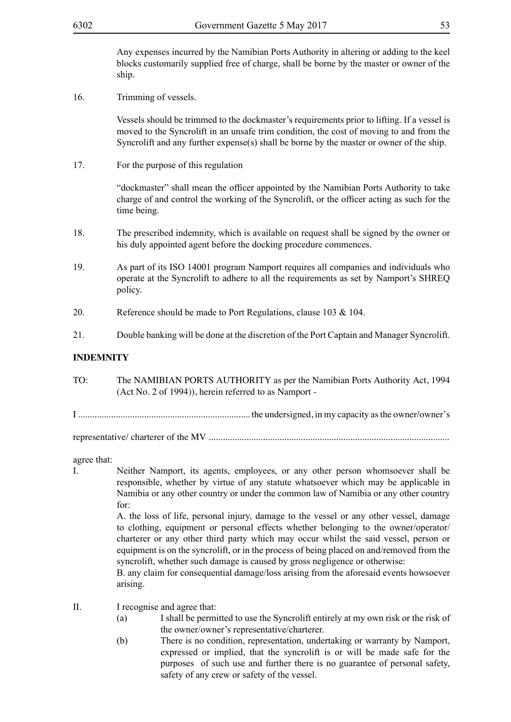Any expenses incurred by the Namibian Ports Authority in altering or adding to the keel blocks customarily supplied free of charge, shall be borne by the master or owner of the ship.

16. Trimming of vessels.

Vessels should be trimmed to the dockmaster's requirements prior to lifting. If a vessel is moved to the Syncrolift in an unsafe trim condition, the cost of moving to and from the Syncrolift and any further expense(s) shall be borne by the master or owner of the ship.

17. For the purpose of this regulation

"dockmaster" shall mean the officer appointed by the Namibian Ports Authority to take charge of and control the working of the Syncrolift, or the officer acting as such for the time being.

- 18. The prescribed indemnity, which is available on request shall be signed by the owner or his duly appointed agent before the docking procedure commences.
- 19. As part of its ISO 14001 program Namport requires all companies and individuals who operate at the Syncrolift to adhere to all the requirements as set by Namport's SHREQ policy.
- 20. Reference should be made to Port Regulations, clause 103 & 104.
- 21. Double banking will be done at the discretion of the Port Captain and Manager Syncrolift.

# **INDEMNITY**

- TO: The NAMIBIAN PORTS AUTHORITY as per the Namibian Ports Authority Act, 1994 (Act No. 2 of 1994)), herein referred to as Namport -
- I ......................................................................... the undersigned, in my capacity as the owner/owner's

representative/ charterer of the MV ......................................................................................................

agree that:

I. Neither Namport, its agents, employees, or any other person whomsoever shall be responsible, whether by virtue of any statute whatsoever which may be applicable in Namibia or any other country or under the common law of Namibia or any other country for:

> A. the loss of life, personal injury, damage to the vessel or any other vessel, damage to clothing, equipment or personal effects whether belonging to the owner/operator/ charterer or any other third party which may occur whilst the said vessel, person or equipment is on the syncrolift, or in the process of being placed on and/removed from the syncrolift, whether such damage is caused by gross negligence or otherwise:

> B. any claim for consequential damage/loss arising from the aforesaid events howsoever arising.

- II. I recognise and agree that:
	- (a) I shall be permitted to use the Syncrolift entirely at my own risk or the risk of the owner/owner's representative/charterer.
	- (b) There is no condition, representation, undertaking or warranty by Namport, expressed or implied, that the syncrolift is or will be made safe for the purposes of such use and further there is no guarantee of personal safety, safety of any crew or safety of the vessel.